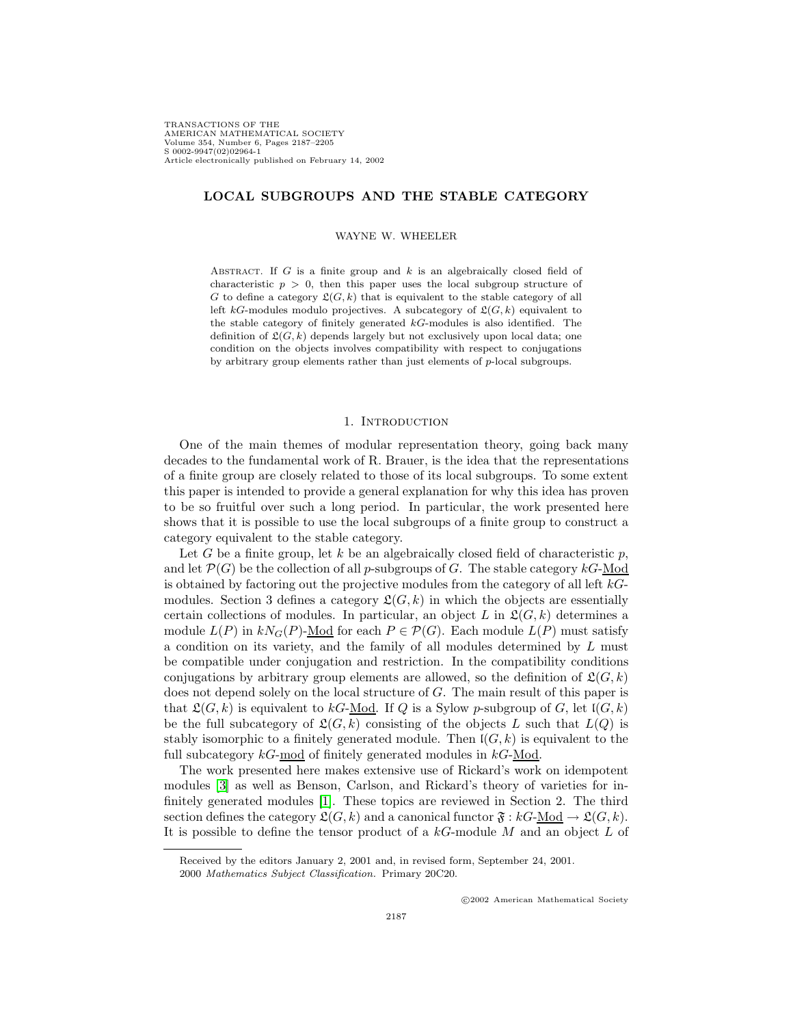TRANSACTIONS OF THE AMERICAN MATHEMATICAL SOCIETY Volume 354, Number 6, Pages 2187–2205 S 0002-9947(02)02964-1 Article electronically published on February 14, 2002

# **LOCAL SUBGROUPS AND THE STABLE CATEGORY**

#### WAYNE W. WHEELER

ABSTRACT. If  $G$  is a finite group and  $k$  is an algebraically closed field of characteristic  $p > 0$ , then this paper uses the local subgroup structure of G to define a category  $\mathfrak{L}(G, k)$  that is equivalent to the stable category of all left kG-modules modulo projectives. A subcategory of  $\mathfrak{L}(G, k)$  equivalent to the stable category of finitely generated kG-modules is also identified. The definition of  $\mathfrak{L}(G, k)$  depends largely but not exclusively upon local data; one condition on the objects involves compatibility with respect to conjugations by arbitrary group elements rather than just elements of p-local subgroups.

## 1. INTRODUCTION

One of the main themes of modular representation theory, going back many decades to the fundamental work of R. Brauer, is the idea that the representations of a finite group are closely related to those of its local subgroups. To some extent this paper is intended to provide a general explanation for why this idea has proven to be so fruitful over such a long period. In particular, the work presented here shows that it is possible to use the local subgroups of a finite group to construct a category equivalent to the stable category.

Let G be a finite group, let k be an algebraically closed field of characteristic p, and let  $\mathcal{P}(G)$  be the collection of all p-subgroups of G. The stable category  $kG$ -Mod is obtained by factoring out the projective modules from the category of all left  $k$ -Gmodules. Section 3 defines a category  $\mathfrak{L}(G, k)$  in which the objects are essentially certain collections of modules. In particular, an object L in  $\mathfrak{L}(G, k)$  determines a module  $L(P)$  in  $kN_G(P)$ -Mod for each  $P \in \mathcal{P}(G)$ . Each module  $L(P)$  must satisfy a condition on its variety, and the family of all modules determined by L must be compatible under conjugation and restriction. In the compatibility conditions conjugations by arbitrary group elements are allowed, so the definition of  $\mathfrak{L}(G, k)$ does not depend solely on the local structure of G. The main result of this paper is that  $\mathfrak{L}(G, k)$  is equivalent to kG-<u>Mod</u>. If Q is a Sylow p-subgroup of G, let  $\mathfrak{l}(G, k)$ be the full subcategory of  $\mathfrak{L}(G, k)$  consisting of the objects L such that  $L(Q)$  is stably isomorphic to a finitely generated module. Then  $\mathfrak{l}(G, k)$  is equivalent to the full subcategory  $kG$ -mod of finitely generated modules in  $kG$ -Mod.

The work presented here makes extensive use of Rickard's work on idempotent modules [\[3\]](#page-18-0) as well as Benson, Carlson, and Rickard's theory of varieties for infinitely generated modules [\[1\]](#page-18-1). These topics are reviewed in Section 2. The third section defines the category  $\mathfrak{L}(G, k)$  and a canonical functor  $\mathfrak{F}: kG\text{-Mod} \to \mathfrak{L}(G, k)$ . It is possible to define the tensor product of a  $kG$ -module  $M$  and an object  $L$  of

c 2002 American Mathematical Society

Received by the editors January 2, 2001 and, in revised form, September 24, 2001.

<sup>2000</sup> Mathematics Subject Classification. Primary 20C20.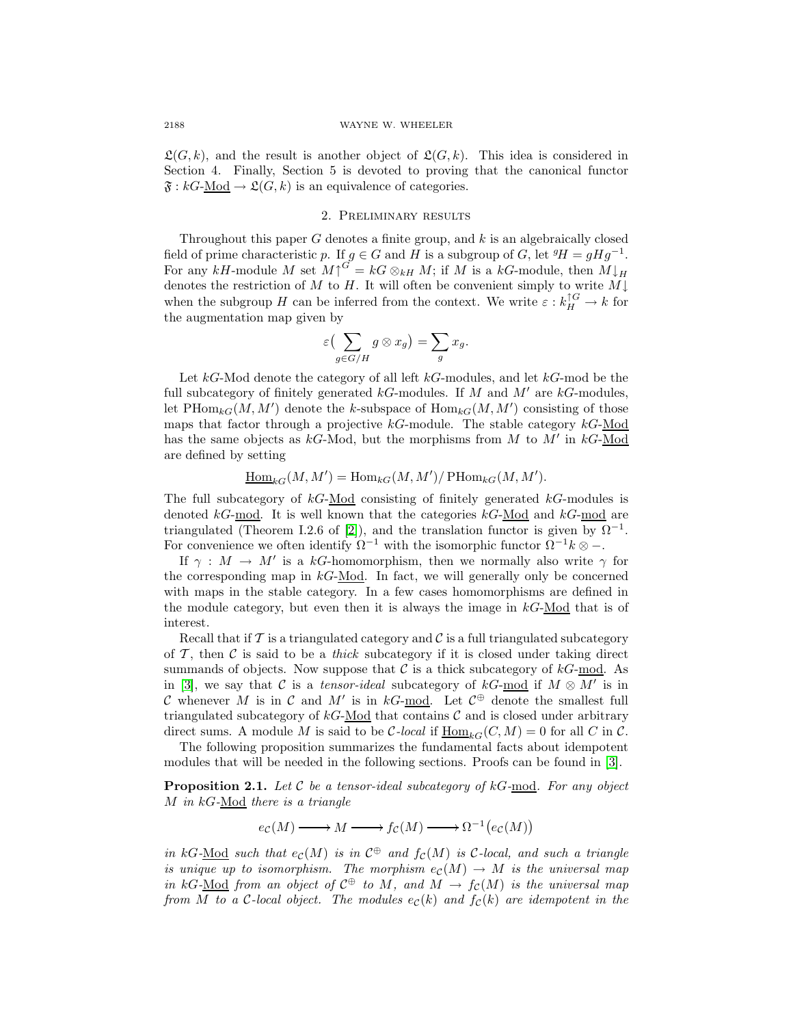$\mathfrak{L}(G, k)$ , and the result is another object of  $\mathfrak{L}(G, k)$ . This idea is considered in Section 4. Finally, Section 5 is devoted to proving that the canonical functor  $\mathfrak{F}: kG\text{-Mod} \to \mathfrak{L}(G,k)$  is an equivalence of categories.

## 2. Preliminary results

Throughout this paper G denotes a finite group, and  $k$  is an algebraically closed field of prime characteristic p. If  $g \in G$  and H is a subgroup of G, let  ${}^g H = g H g^{-1}$ . For any kH-module M set  $M\uparrow^{G'} = kG \otimes_{kH} M$ ; if M is a kG-module, then  $M\downarrow_H$ denotes the restriction of M to H. It will often be convenient simply to write  $M\downarrow$ when the subgroup H can be inferred from the context. We write  $\varepsilon : k_H^{\uparrow G} \to k$  for the augmentation map given by

$$
\varepsilon\left(\sum_{g\in G/H}g\otimes x_g\right)=\sum_g x_g.
$$

Let  $kG$ -Mod denote the category of all left  $kG$ -modules, and let  $kG$ -mod be the full subcategory of finitely generated  $k$ G-modules. If M and M' are  $k$ G-modules, let  $\text{PHom}_{kG}(M, M')$  denote the k-subspace of  $\text{Hom}_{kG}(M, M')$  consisting of those maps that factor through a projective  $k$ G-module. The stable category  $k$ G-Mod has the same objects as  $k$ G-Mod, but the morphisms from M to M' in  $k$ G-Mod are defined by setting

$$
\underline{\operatorname{Hom}}_{kG}(M,M') = \operatorname{Hom}_{kG}(M,M')/\operatorname{PHom}_{kG}(M,M').
$$

The full subcategory of  $kG$ -Mod consisting of finitely generated  $kG$ -modules is denoted  $kG$ -mod. It is well known that the categories  $kG$ -Mod and  $kG$ -mod are triangulated (Theorem I.2.6 of [\[2\]](#page-18-2)), and the translation functor is given by  $\Omega^{-1}$ . For convenience we often identify  $\Omega^{-1}$  with the isomorphic functor  $\Omega^{-1}k \otimes -$ .

If  $\gamma : M \to M'$  is a kG-homomorphism, then we normally also write  $\gamma$  for the corresponding map in  $k \text{G-Mod}$ . In fact, we will generally only be concerned with maps in the stable category. In a few cases homomorphisms are defined in the module category, but even then it is always the image in  $k\text{G-Mod}$  that is of interest.

Recall that if  $\mathcal T$  is a triangulated category and  $\mathcal C$  is a full triangulated subcategory of  $\mathcal{T}$ , then  $\mathcal{C}$  is said to be a *thick* subcategory if it is closed under taking direct summands of objects. Now suppose that  $\mathcal C$  is a thick subcategory of  $kG\text{-mod}$ . As in [\[3\]](#page-18-0), we say that C is a tensor-ideal subcategory of kG-mod if  $M \otimes M'$  is in C whenever M is in C and M' is in kG-mod. Let  $C^{\oplus}$  denote the smallest full triangulated subcategory of  $kG\text{-Mod}$  that contains C and is closed under arbitrary direct sums. A module M is said to be C-local if  $\underline{\text{Hom}}_{kG}(C,M) = 0$  for all C in C.

<span id="page-1-0"></span>The following proposition summarizes the fundamental facts about idempotent modules that will be needed in the following sections. Proofs can be found in [\[3\]](#page-18-0).

**Proposition 2.1.** Let  $C$  be a tensor-ideal subcategory of  $kG$ -mod. For any object M in  $kG$ -Mod there is a triangle

$$
e_{\mathcal{C}}(M)\longrightarrow M\longrightarrow f_{\mathcal{C}}(M)\longrightarrow \Omega^{-1}\big(e_{\mathcal{C}}(M)\big)
$$

in kG-Mod such that  $e_c(M)$  is in  $\mathcal{C}^{\oplus}$  and  $f_c(M)$  is C-local, and such a triangle is unique up to isomorphism. The morphism  $e_{\mathcal{C}}(M) \to M$  is the universal map in kG-Mod from an object of  $\mathcal{C}^{\oplus}$  to M, and  $M \to f_{\mathcal{C}}(M)$  is the universal map from M to a C-local object. The modules  $e_{\mathcal{C}}(k)$  and  $f_{\mathcal{C}}(k)$  are idempotent in the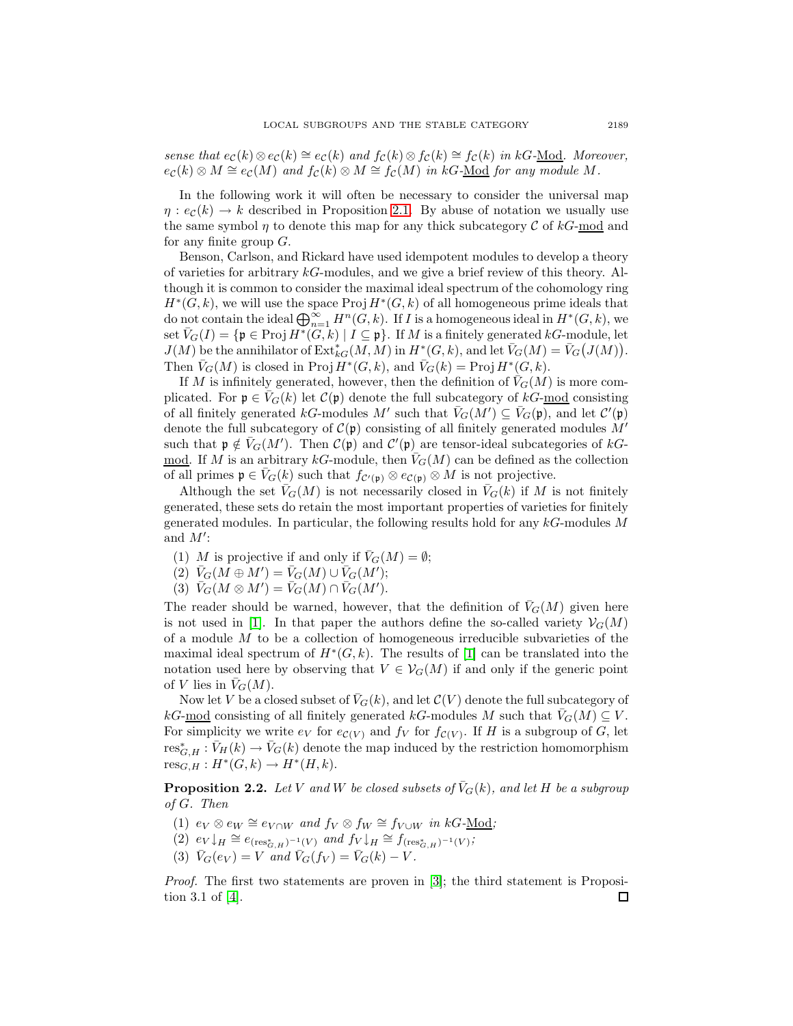sense that  $e_{\mathcal{C}}(k) \otimes e_{\mathcal{C}}(k) \cong e_{\mathcal{C}}(k)$  and  $f_{\mathcal{C}}(k) \otimes f_{\mathcal{C}}(k) \cong f_{\mathcal{C}}(k)$  in kG-Mod. Moreover,  $e_{\mathcal{C}}(k) \otimes M \cong e_{\mathcal{C}}(M)$  and  $f_{\mathcal{C}}(k) \otimes M \cong f_{\mathcal{C}}(M)$  in kG-Mod for any module M.

In the following work it will often be necessary to consider the universal map  $\eta$ :  $e_c(k) \rightarrow k$  described in Proposition [2.1.](#page-1-0) By abuse of notation we usually use the same symbol  $\eta$  to denote this map for any thick subcategory C of kG-mod and for any finite group  $G$ .

Benson, Carlson, and Rickard have used idempotent modules to develop a theory of varieties for arbitrary  $k$ G-modules, and we give a brief review of this theory. Although it is common to consider the maximal ideal spectrum of the cohomology ring  $H^*(G, k)$ , we will use the space Proj  $H^*(G, k)$  of all homogeneous prime ideals that do not contain the ideal  $\bigoplus_{n=1}^{\infty} H^n(G, k)$ . If I is a homogeneous ideal in  $H^*(G, k)$ , we set  $\overline{V}_G(I) = \{ \mathfrak{p} \in \text{Proj } H^*(G, k) \mid I \subseteq \mathfrak{p} \}.$  If M is a finitely generated kG-module, let  $J(M)$  be the annihilator of  $\operatorname{Ext}^*_{kG}(M,M)$  in  $H^*(G,k)$ , and let  $\bar{V}_G(M) = \bar{V}_G(J(M)).$ Then  $\bar{V}_G(M)$  is closed in Proj  $H^*(G, k)$ , and  $\bar{V}_G(k) = \text{Proj } H^*(G, k)$ .

If M is infinitely generated, however, then the definition of  $V_G(M)$  is more complicated. For  $\mathfrak{p} \in \overline{V}_G(k)$  let  $\mathcal{C}(\mathfrak{p})$  denote the full subcategory of  $kG$ -mod consisting of all finitely generated  $kG$ -modules M' such that  $\bar{V}_G(M') \subseteq \bar{V}_G(\mathfrak{p}),$  and let  $\mathcal{C}'(\mathfrak{p})$ denote the full subcategory of  $\mathcal{C}(\mathfrak{p})$  consisting of all finitely generated modules  $M'$ such that  $\mathfrak{p} \notin \overline{V}_G(M')$ . Then  $\mathcal{C}(\mathfrak{p})$  and  $\mathcal{C}'(\mathfrak{p})$  are tensor-ideal subcategories of  $kG$ -<u>mod</u>. If M is an arbitrary kG-module, then  $\bar{V}_G(M)$  can be defined as the collection of all primes  $\mathfrak{p} \in \overline{V}_G(k)$  such that  $f_{\mathcal{C}'(\mathfrak{p})} \otimes e_{\mathcal{C}(\mathfrak{p})} \otimes M$  is not projective.

Although the set  $\bar{V}_G(M)$  is not necessarily closed in  $\bar{V}_G(k)$  if M is not finitely generated, these sets do retain the most important properties of varieties for finitely generated modules. In particular, the following results hold for any  $kG$ -modules M and  $M'$ :

- (1) M is projective if and only if  $\bar{V}_G(M) = \emptyset$ ;
- $\widetilde{V}_G(M \oplus M') = \overline{V}_G(M) \cup \overline{V}_G(M');$
- (3)  $\bar{V}_G(M \otimes M') = \bar{V}_G(M) \cap \bar{V}_G(M').$

The reader should be warned, however, that the definition of  $\bar{V}_G(M)$  given here is not used in [\[1\]](#page-18-1). In that paper the authors define the so-called variety  $\mathcal{V}_G(M)$ of a module  $M$  to be a collection of homogeneous irreducible subvarieties of the maximal ideal spectrum of  $H^*(G, k)$ . The results of [\[1\]](#page-18-1) can be translated into the notation used here by observing that  $V \in V_G(M)$  if and only if the generic point of V lies in  $\overline{V}_G(M)$ .

Now let V be a closed subset of  $\bar{V}_G(k)$ , and let  $\mathcal{C}(V)$  denote the full subcategory of kG-mod consisting of all finitely generated kG-modules M such that  $V_G(M) \subseteq V$ . For simplicity we write  $e_V$  for  $e_{\mathcal{C}(V)}$  and  $f_V$  for  $f_{\mathcal{C}(V)}$ . If H is a subgroup of G, let  $res^*_{G,H} : \bar{V}_H(k) \to \bar{V}_G(k)$  denote the map induced by the restriction homomorphism  $res_{G,H}: H^*(G,k) \to H^*(H,k).$ 

**Proposition 2.2.** Let V and W be closed subsets of  $\bar{V}_G(k)$ , and let H be a subgroup of G. Then

- (1)  $e_V \otimes e_W \cong e_{V \cap W}$  and  $f_V \otimes f_W \cong f_{V \cup W}$  in kG-Mod;
- (2)  $e_V\downarrow_H \cong e_{(\text{res}^*_{G,H})^{-1}(V)}$  and  $f_V\downarrow_H \cong f_{(\text{res}^*_{G,H})^{-1}(V)}$ ;
- (3)  $\bar{V}_G(e_V) = V$  and  $\bar{V}_G(f_V) = \bar{V}_G(k) V$ .

*Proof.* The first two statements are proven in  $[3]$ ; the third statement is Proposition 3.1 of [\[4\]](#page-18-3). $\Box$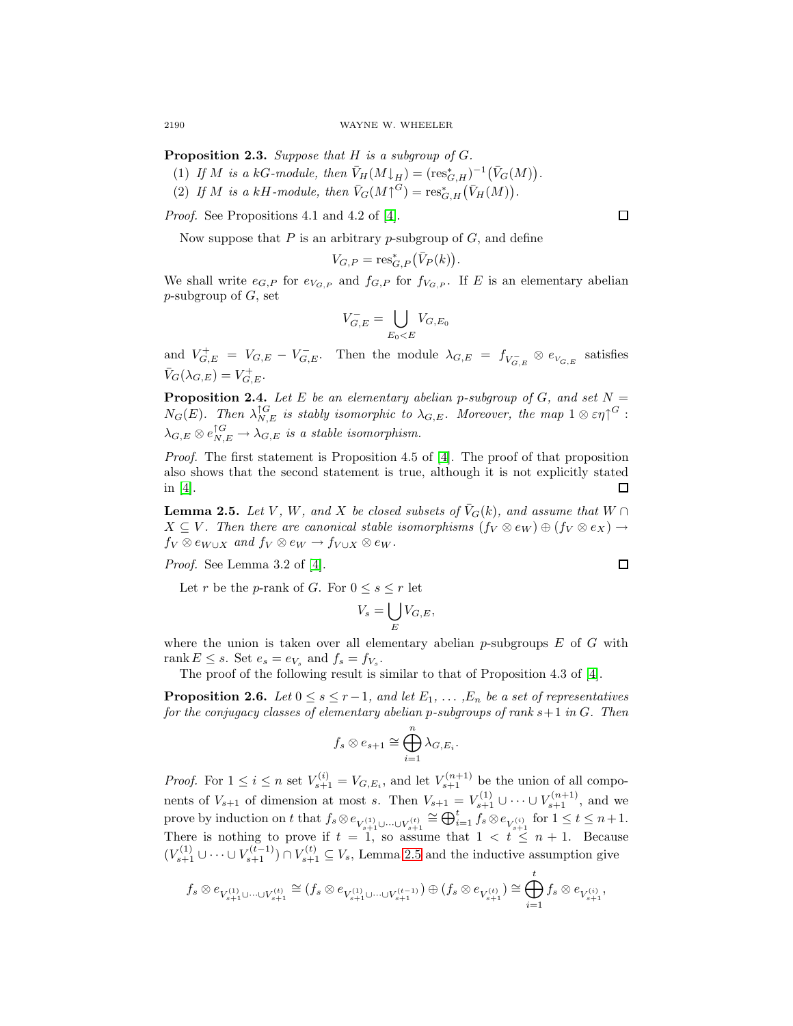**Proposition 2.3.** Suppose that H is a subgroup of G.

- (1) If M is a kG-module, then  $\bar{V}_H(M\downarrow_H) = (\mathrm{res}^*_{G,H})^{-1}(\bar{V}_G(M)).$
- (2) If M is a kH-module, then  $\bar{V}_G(M \uparrow^G) = \text{res}_{G,H}^* (\bar{V}_H(M)).$

Proof. See Propositions 4.1 and 4.2 of [\[4\]](#page-18-3).

Now suppose that P is an arbitrary p-subgroup of  $G$ , and define

$$
V_{G,P} = \operatorname{res}_{G,P}^* (\bar{V}_P(k)).
$$

We shall write  $e_{G,P}$  for  $e_{V_{G,P}}$  and  $f_{G,P}$  for  $f_{V_{G,P}}$ . If E is an elementary abelian  $p$ -subgroup of  $G$ , set

$$
V_{G,E}^- = \bigcup_{E_0
$$

and  $V_{G,E}^+ = V_{G,E} - V_{G,E}^-$ . Then the module  $\lambda_{G,E} = f_{V_{G,E}^-} \otimes e_{V_{G,E}}$  satisfies  $\bar{V}_G(\lambda_{G,E})=V_{G,E}^+$ .

<span id="page-3-1"></span>**Proposition 2.4.** Let E be an elementary abelian p-subgroup of G, and set  $N =$  $N_G(E)$ . Then  $\lambda_{N,E}^{\uparrow G}$  is stably isomorphic to  $\lambda_{G,E}$ . Moreover, the map  $1\otimes \varepsilon \eta^{\uparrow G}$ :  $\lambda_{G,E}\otimes e_{N,E}^{\uparrow G}\to \lambda_{G,E}$  is a stable isomorphism.

Proof. The first statement is Proposition 4.5 of [\[4\]](#page-18-3). The proof of that proposition also shows that the second statement is true, although it is not explicitly stated in [\[4\]](#page-18-3). □

<span id="page-3-0"></span>**Lemma 2.5.** Let V, W, and X be closed subsets of  $\overline{V}_G(k)$ , and assume that  $W \cap$  $X \subseteq V$ . Then there are canonical stable isomorphisms  $(f_V \otimes e_W) \oplus (f_V \otimes e_X) \rightarrow$  $f_V \otimes e_{W\cup X}$  and  $f_V \otimes e_W \to f_{V\cup X} \otimes e_W$ .

Proof. See Lemma 3.2 of [\[4\]](#page-18-3).

Let r be the p-rank of G. For  $0 \leq s \leq r$  let

$$
V_s = \bigcup_E V_{G,E},
$$

where the union is taken over all elementary abelian p-subgroups  $E$  of  $G$  with rank  $E \leq s$ . Set  $e_s = e_{V_s}$  and  $f_s = f_{V_s}$ .

The proof of the following result is similar to that of Proposition 4.3 of [\[4\]](#page-18-3).

**Proposition 2.6.** Let  $0 \leq s \leq r-1$ , and let  $E_1, \ldots, E_n$  be a set of representatives for the conjugacy classes of elementary abelian p-subgroups of rank  $s+1$  in  $G$ . Then

$$
f_s \otimes e_{s+1} \cong \bigoplus_{i=1}^n \lambda_{G,E_i}.
$$

*Proof.* For  $1 \leq i \leq n$  set  $V_{s+1}^{(i)} = V_{G,E_i}$ , and let  $V_{s+1}^{(n+1)}$  be the union of all components of  $V_{s+1}$  of dimension at most s. Then  $V_{s+1} = V_{s+1}^{(1)} \cup \cdots \cup V_{s+1}^{(n+1)}$ , and we prove by induction on t that  $f_s \otimes e_{V_{s+1}^{(1)} \cup \cdots \cup V_{s+1}^{(t)}} \cong \bigoplus_{i=1}^t f_s \otimes e_{V_{s+1}^{(i)}}$  for  $1 \leq t \leq n+1$ . There is nothing to prove if  $t = 1$ , so assume that  $1 < t \leq n + 1$ . Because  $(V_{s+1}^{(1)} \cup \cdots \cup V_{s+1}^{(t-1)}) \cap V_{s+1}^{(t)} \subseteq V_s$ , Lemma [2.5](#page-3-0) and the inductive assumption give

$$
f_s\otimes e_{V_{s+1}^{(1)}\cup\cdots\cup V_{s+1}^{(t)}}\cong (f_s\otimes e_{V_{s+1}^{(1)}\cup\cdots\cup V_{s+1}^{(t-1)}})\oplus (f_s\otimes e_{V_{s+1}^{(t)}})\cong \bigoplus_{i=1}^t f_s\otimes e_{V_{s+1}^{(i)}},
$$

 $\Box$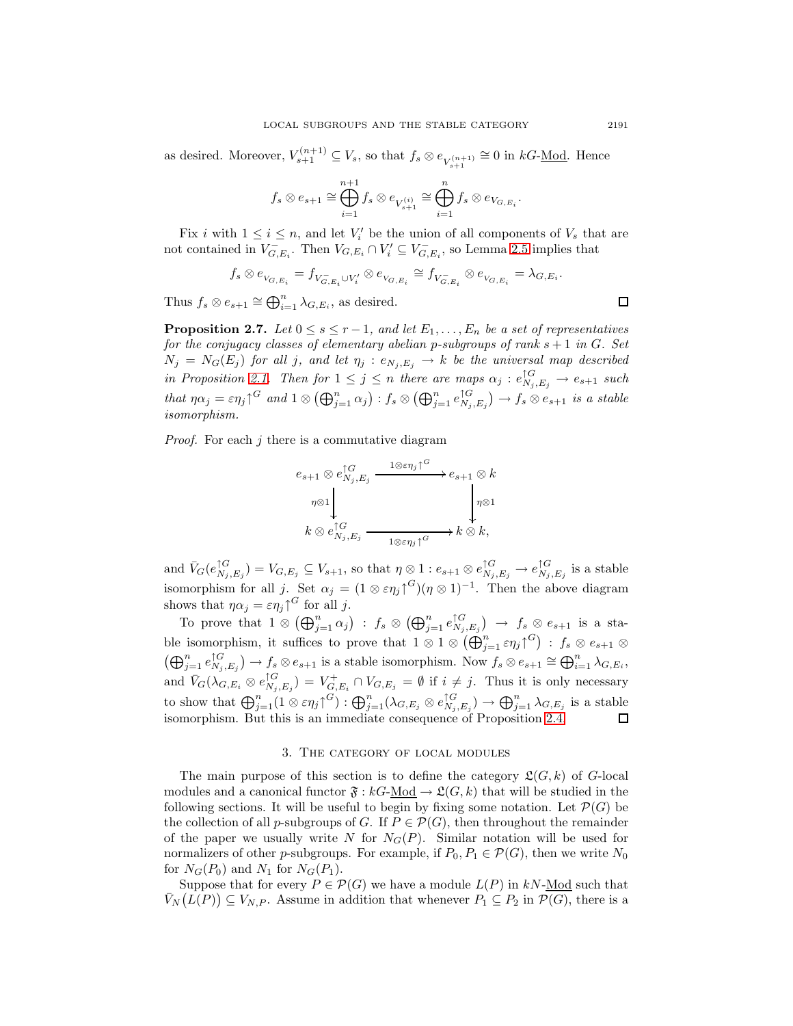as desired. Moreover,  $V_{s+1}^{(n+1)} \subseteq V_s$ , so that  $f_s \otimes e_{V_{s+1}^{(n+1)}} \cong 0$  in  $kG$ -<u>Mod</u>. Hence

$$
f_s\otimes e_{s+1}\cong\bigoplus_{i=1}^{n+1}f_s\otimes e_{V_{s+1}^{(i)}}\cong\bigoplus_{i=1}^n f_s\otimes e_{V_{G,E_i}}.
$$

Fix i with  $1 \leq i \leq n$ , and let  $V_i'$  be the union of all components of  $V_s$  that are not contained in  $V_{G,E_i}^-$ . Then  $V_{G,E_i} \cap V_i' \subseteq V_{G,E_i}^-$ , so Lemma [2.5](#page-3-0) implies that

$$
f_s\otimes e_{V_{G,E_i}}=f_{V_{G,E_i}\cup V_i'}\otimes e_{V_{G,E_i}}\cong f_{V_{G,E_i}^-}\otimes e_{V_{G,E_i}}=\lambda_{G,E_i}.
$$

Thus  $f_s \otimes e_{s+1} \cong \bigoplus_{i=1}^n \lambda_{G,E_i}$ , as desired.

<span id="page-4-0"></span>**Proposition 2.7.** Let  $0 \leq s \leq r-1$ , and let  $E_1, \ldots, E_n$  be a set of representatives for the conjugacy classes of elementary abelian p-subgroups of rank  $s + 1$  in G. Set  $N_j = N_G(E_j)$  for all j, and let  $\eta_j : e_{N_j,E_j} \to k$  be the universal map described in Proposition [2.1.](#page-1-0) Then for  $1 \leq j \leq n$  there are maps  $\alpha_j : e_{N_j, E_j}^{\uparrow G} \to e_{s+1}$  such that  $\eta \alpha_j = \varepsilon \eta_j \gamma^G$  and  $1 \otimes (\bigoplus_{j=1}^n \alpha_j) : f_s \otimes (\bigoplus_{j=1}^n e_{N_j, E_j}^{\uparrow G}) \to f_s \otimes e_{s+1}$  is a stable isomorphism.

*Proof.* For each  $j$  there is a commutative diagram

$$
e_{s+1} \otimes e_{N_j, E_j}^{\uparrow G} \xrightarrow{1 \otimes \varepsilon \eta_j \uparrow^G} e_{s+1} \otimes k
$$
  
\n
$$
\eta \otimes 1 \downarrow \qquad \qquad \downarrow \eta \otimes 1
$$
  
\n
$$
k \otimes e_{N_j, E_j}^{\uparrow G} \xrightarrow{\qquad \qquad 1 \otimes \varepsilon \eta_j \uparrow^G} k \otimes k,
$$

and  $\bar{V}_G(e_{N_j,E_j}^{\uparrow G}) = V_{G,E_j} \subseteq V_{s+1}$ , so that  $\eta \otimes 1 : e_{s+1} \otimes e_{N_j,E_j}^{\uparrow G} \to e_{N_j,E_j}^{\uparrow G}$  is a stable isomorphism for all j. Set  $\alpha_j = (1 \otimes \varepsilon \eta_j)^{G} (\eta \otimes 1)^{-1}$ . Then the above diagram shows that  $\eta \alpha_j = \varepsilon \eta_j \gamma^G$  for all j.

To prove that  $1 \otimes (\bigoplus_{j=1}^n \alpha_j) : f_s \otimes (\bigoplus_{j=1}^n e_{N_j,E_j}^{\uparrow G}) \to f_s \otimes e_{s+1}$  is a stable isomorphism, it suffices to prove that  $1 \otimes 1 \otimes (\bigoplus_{j=1}^n \varepsilon \eta_j)^{G}$  :  $f_s \otimes e_{s+1} \otimes$  $(\bigoplus_{j=1}^n e_{N_j,E_j}^{\uparrow G}) \to f_s \otimes e_{s+1}$  is a stable isomorphism. Now  $f_s \otimes e_{s+1} \cong \bigoplus_{i=1}^n \lambda_{G,E_i}$ , and  $\bar{V}_G(\lambda_{G,E_i} \otimes e_{N_j,E_j}^{\uparrow G}) = V_{G,E_i}^+ \cap V_{G,E_j} = \emptyset$  if  $i \neq j$ . Thus it is only necessary to show that  $\bigoplus_{j=1}^n (1 \otimes \varepsilon \eta_j)^{G} : \bigoplus_{j=1}^n (\lambda_{G,E_j} \otimes e_{N_j,E_j}^{\uparrow G}) \to \bigoplus_{j=1}^n \lambda_{G,E_j}$  is a stable isomorphism. But this is an immediate consequence of Proposition [2.4.](#page-3-1)

### 3. The category of local modules

The main purpose of this section is to define the category  $\mathfrak{L}(G, k)$  of G-local modules and a canonical functor  $\mathfrak{F}: kG\text{-Mod} \to \mathfrak{L}(G, k)$  that will be studied in the following sections. It will be useful to begin by fixing some notation. Let  $\mathcal{P}(G)$  be the collection of all p-subgroups of G. If  $P \in \mathcal{P}(G)$ , then throughout the remainder of the paper we usually write N for  $N_G(P)$ . Similar notation will be used for normalizers of other p-subgroups. For example, if  $P_0, P_1 \in \mathcal{P}(G)$ , then we write  $N_0$ for  $N_G(P_0)$  and  $N_1$  for  $N_G(P_1)$ .

Suppose that for every  $P \in \mathcal{P}(G)$  we have a module  $L(P)$  in kN-Mod such that  $\bar{V}_N(L(P)) \subseteq V_{N,P}$ . Assume in addition that whenever  $P_1 \subseteq P_2$  in  $\mathcal{P}(G)$ , there is a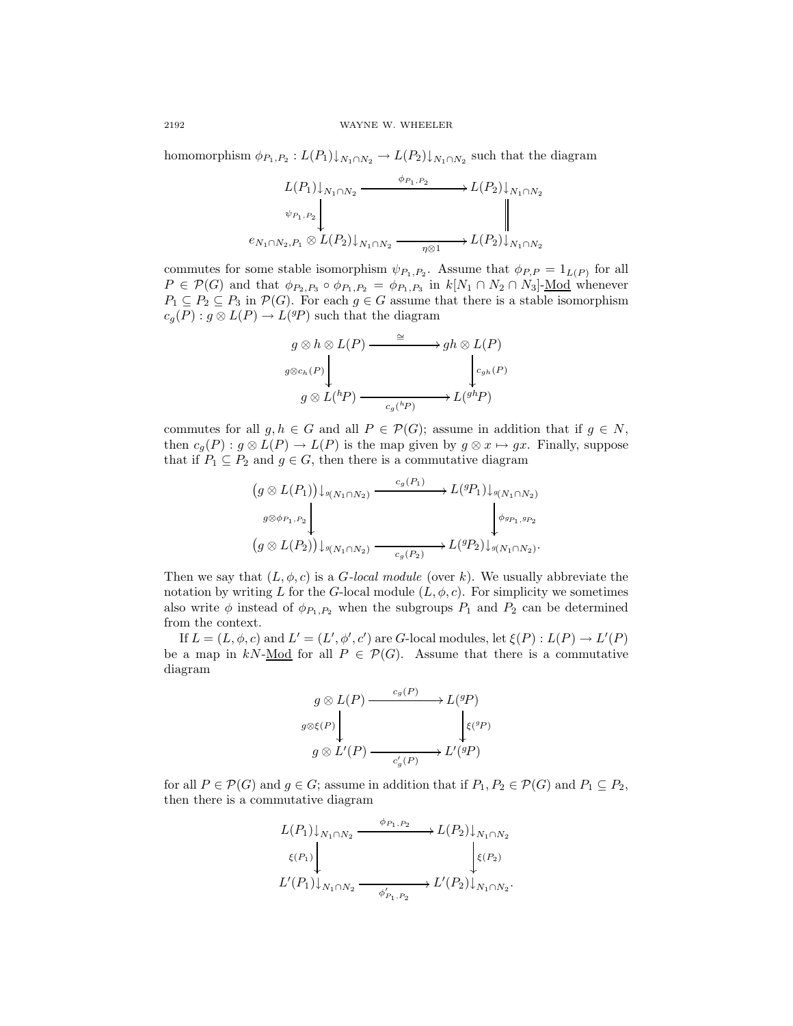homomorphism  $\phi_{P_1,P_2}: L(P_1)\downarrow_{N_1\cap N_2} \to L(P_2)\downarrow_{N_1\cap N_2}$  such that the diagram

$$
L(P_1)\downarrow_{N_1\cap N_2} \xrightarrow{\phi_{P_1,P_2}} L(P_2)\downarrow_{N_1\cap N_2}
$$
  
\n
$$
\psi_{P_1,P_2}\downarrow \qquad \qquad \downarrow
$$
  
\n
$$
e_{N_1\cap N_2,P_1}\otimes L(P_2)\downarrow_{N_1\cap N_2} \xrightarrow{\eta\otimes 1} L(P_2)\downarrow_{N_1\cap N_2}
$$

commutes for some stable isomorphism  $\psi_{P_1,P_2}$ . Assume that  $\phi_{P,P} = 1_{L(P)}$  for all  $P \in \mathcal{P}(G)$  and that  $\phi_{P_2,P_3} \circ \phi_{P_1,P_2} = \phi_{P_1,P_3}$  in  $k[N_1 \cap N_2 \cap N_3]$ -Mod whenever  $P_1 \subseteq P_2 \subseteq P_3$  in  $\mathcal{P}(G)$ . For each  $g \in G$  assume that there is a stable isomorphism  $c_g(P) : g \otimes L(P) \to L({}^{g}P)$  such that the diagram

$$
g \otimes h \otimes L(P) \xrightarrow{\cong} gh \otimes L(P)
$$
  

$$
g \otimes c_h(P) \downarrow \qquad \qquad c_{gh}(P)
$$
  

$$
g \otimes L({}^h P) \xrightarrow{c_g({}^h P)} L({}^{gh} P)
$$

commutes for all  $g, h \in G$  and all  $P \in \mathcal{P}(G)$ ; assume in addition that if  $g \in N$ , then  $c_q(P) : g \otimes L(P) \to L(P)$  is the map given by  $g \otimes x \mapsto gx$ . Finally, suppose that if  $P_1 \subseteq P_2$  and  $g \in G$ , then there is a commutative diagram

$$
(g \otimes L(P_1)) \downarrow_{g(N_1 \cap N_2)} \xrightarrow{c_g(P_1)} L^{(g)} \downarrow_{g(N_1 \cap N_2)}
$$
  

$$
(g \otimes L(P_2)) \downarrow_{g(N_1 \cap N_2)} \xrightarrow{c_g(P_2)} L^{(g)} \downarrow_{g(N_1 \cap N_2)}.
$$

Then we say that  $(L, \phi, c)$  is a *G-local module* (over k). We usually abbreviate the notation by writing L for the G-local module  $(L, \phi, c)$ . For simplicity we sometimes also write  $\phi$  instead of  $\phi_{P_1,P_2}$  when the subgroups  $P_1$  and  $P_2$  can be determined from the context.

If  $L = (L, \phi, c)$  and  $L' = (L', \phi', c')$  are G-local modules, let  $\xi(P) : L(P) \to L'(P)$ be a map in kN-<u>Mod</u> for all  $P \in \mathcal{P}(G)$ . Assume that there is a commutative diagram

$$
g \otimes L(P) \xrightarrow{c_g(P)} L^{(g)} \downarrow
$$
  
\n
$$
g \otimes L'(P) \xrightarrow{c'_g(P)} L^{(g)} \downarrow
$$
  
\n
$$
g \otimes L'(P) \xrightarrow{c'_g(P)} L'(^{g}P)
$$

for all  $P \in \mathcal{P}(G)$  and  $g \in G$ ; assume in addition that if  $P_1, P_2 \in \mathcal{P}(G)$  and  $P_1 \subseteq P_2$ , then there is a commutative diagram

$$
L(P_1)\downarrow_{N_1\cap N_2} \xrightarrow{\phi_{P_1,P_2}} L(P_2)\downarrow_{N_1\cap N_2}
$$
  

$$
\xi(P_1)\downarrow_{N_1\cap N_2} \xrightarrow{\phi'_{P_1,P_2}} L'(P_2)\downarrow_{N_1\cap N_2}.
$$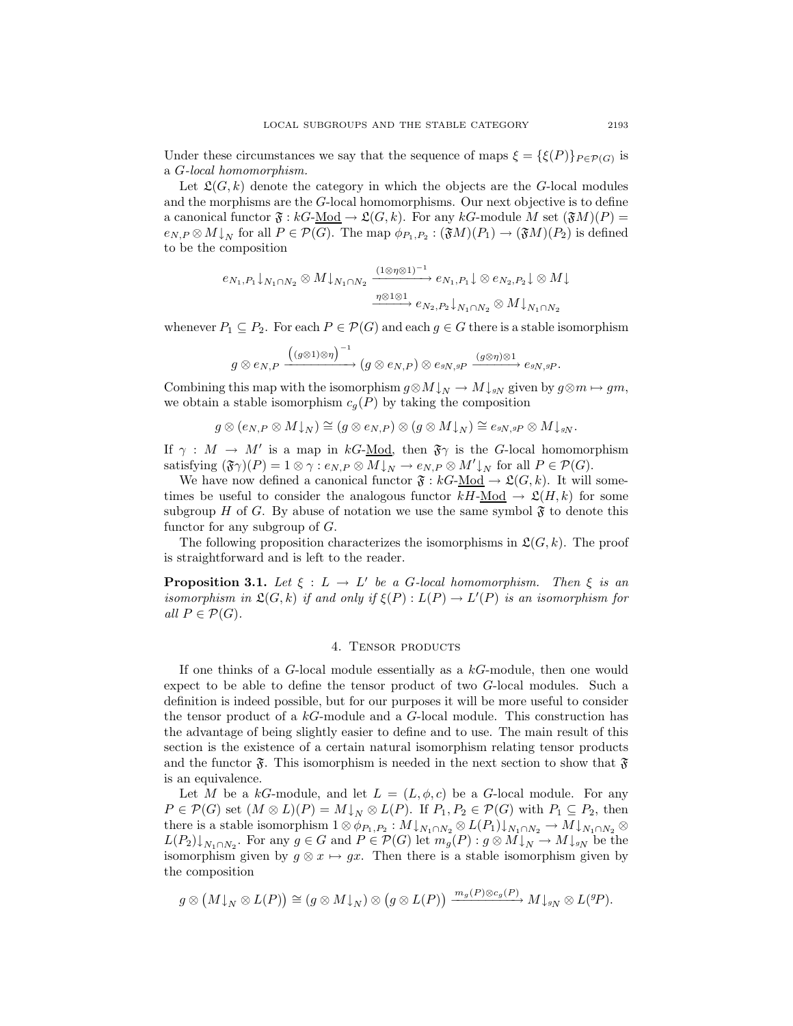Under these circumstances we say that the sequence of maps  $\xi = {\xi(P)}_{P \in \mathcal{P}(G)}$  is a G-local homomorphism.

Let  $\mathfrak{L}(G, k)$  denote the category in which the objects are the G-local modules and the morphisms are the G-local homomorphisms. Our next objective is to define a canonical functor  $\mathfrak{F}: kG\text{-Mod} \to \mathfrak{L}(G, k)$ . For any  $kG\text{-module } M$  set  $(\mathfrak{F}M)(P)$  =  $e_{N,P} \otimes M\downarrow_N$  for all  $P \in \mathcal{P}(G)$ . The map  $\phi_{P_1,P_2} : (\mathfrak{F}M)(P_1) \to (\mathfrak{F}M)(P_2)$  is defined to be the composition

$$
e_{N_1,P_1}\downarrow_{N_1\cap N_2}\otimes M\downarrow_{N_1\cap N_2} \xrightarrow{\left(1\otimes\eta\otimes1\right)^{-1}} e_{N_1,P_1}\downarrow\otimes e_{N_2,P_2}\downarrow\otimes M\downarrow
$$
  

$$
\xrightarrow{\eta\otimes1\otimes1} e_{N_2,P_2}\downarrow_{N_1\cap N_2}\otimes M\downarrow_{N_1\cap N_2}
$$

whenever  $P_1 \subseteq P_2$ . For each  $P \in \mathcal{P}(G)$  and each  $g \in G$  there is a stable isomorphism

$$
g\otimes e_{N,P}\xrightarrow{\Big((g\otimes 1)\otimes \eta\Big)^{-1}} (g\otimes e_{N,P})\otimes e_{^gN,gP}\xrightarrow{(g\otimes \eta)\otimes 1}e_{^gN,gP}.
$$

Combining this map with the isomorphism  $g \otimes M \downarrow_N \to M \downarrow_{gN}$  given by  $g \otimes m \mapsto gm$ , we obtain a stable isomorphism  $c_g(P)$  by taking the composition

$$
g\otimes (e_{N,P}\otimes M{\downarrow_N})\cong (g\otimes e_{N,P})\otimes (g\otimes M{\downarrow_N})\cong e_{gN, gP}\otimes M{\downarrow_g_N}.
$$

If  $\gamma : M \to M'$  is a map in kG-Mod, then  $\mathfrak{F}\gamma$  is the G-local homomorphism satisfying  $(\mathfrak{F}\gamma)(P) = 1 \otimes \gamma : e_{N,P} \otimes M \downarrow_N \to e_{N,P} \otimes M' \downarrow_N$  for all  $P \in \mathcal{P}(G)$ .

We have now defined a canonical functor  $\mathfrak{F}: kG-\underline{Mod} \to \mathfrak{L}(G,k)$ . It will sometimes be useful to consider the analogous functor  $kH$ -Mod  $\rightarrow \mathfrak{L}(H, k)$  for some subgroup H of G. By abuse of notation we use the same symbol  $\mathfrak{F}$  to denote this functor for any subgroup of  $G$ .

<span id="page-6-0"></span>The following proposition characterizes the isomorphisms in  $\mathfrak{L}(G, k)$ . The proof is straightforward and is left to the reader.

**Proposition 3.1.** Let  $\xi : L \to L'$  be a G-local homomorphism. Then  $\xi$  is an isomorphism in  $\mathfrak{L}(G,k)$  if and only if  $\xi(P):L(P)\to L'(P)$  is an isomorphism for all  $P \in \mathcal{P}(G)$ .

## 4. Tensor products

If one thinks of a  $G$ -local module essentially as a  $kG$ -module, then one would expect to be able to define the tensor product of two G-local modules. Such a definition is indeed possible, but for our purposes it will be more useful to consider the tensor product of a kG-module and a G-local module. This construction has the advantage of being slightly easier to define and to use. The main result of this section is the existence of a certain natural isomorphism relating tensor products and the functor  $\mathfrak{F}$ . This isomorphism is needed in the next section to show that  $\mathfrak{F}$ is an equivalence.

Let M be a kG-module, and let  $L = (L, \phi, c)$  be a G-local module. For any  $P \in \mathcal{P}(G)$  set  $(M \otimes L)(P) = M \downarrow_N \otimes L(P)$ . If  $P_1, P_2 \in \mathcal{P}(G)$  with  $P_1 \subseteq P_2$ , then there is a stable isomorphism  $1 \otimes \phi_{P_1,P_2} : M \downarrow_{N_1 \cap N_2} \otimes L(P_1) \downarrow_{N_1 \cap N_2} \to M \downarrow_{N_1 \cap N_2} \otimes$  $L(P_2)\downarrow_{N_1\cap N_2}$ . For any  $g\in G$  and  $P\in \mathcal{P}(G)$  let  $m_g(P): g\otimes M\downarrow_N\to M\downarrow_{gN}$  be the isomorphism given by  $g \otimes x \mapsto gx$ . Then there is a stable isomorphism given by the composition

$$
g\otimes \big(M{\downarrow_N}\otimes L(P)\big)\cong (g\otimes M{\downarrow_N})\otimes \big(g\otimes L(P)\big)\xrightarrow{m_g(P)\otimes c_g(P)} M{\downarrow_{sN}}\otimes L({}^g\!P).
$$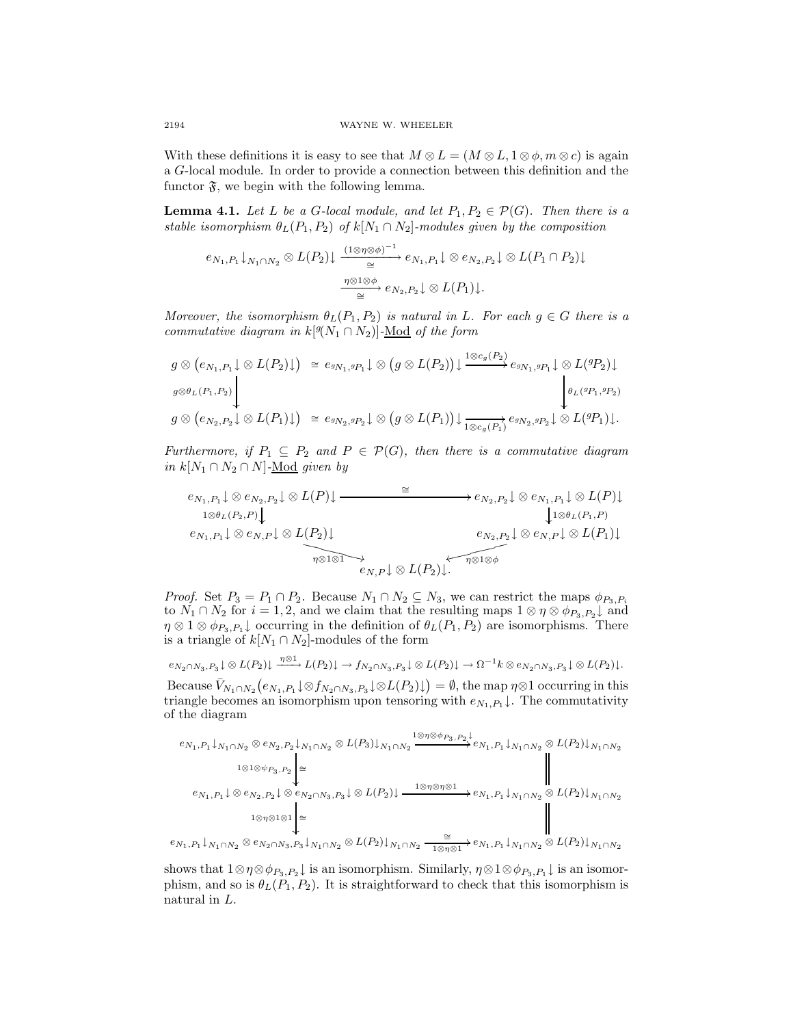With these definitions it is easy to see that  $M \otimes L = (M \otimes L, 1 \otimes \phi, m \otimes c)$  is again a G-local module. In order to provide a connection between this definition and the functor  $\mathfrak{F}$ , we begin with the following lemma.

<span id="page-7-0"></span>**Lemma 4.1.** Let L be a G-local module, and let  $P_1, P_2 \in \mathcal{P}(G)$ . Then there is a stable isomorphism  $\theta_L(P_1, P_2)$  of  $k[N_1 \cap N_2]$ -modules given by the composition

$$
e_{N_1,P_1}\downarrow_{N_1\cap N_2}\otimes L(P_2)\downarrow \xrightarrow{\left(1\otimes\eta\otimes\phi\right)^{-1}} e_{N_1,P_1}\downarrow \otimes e_{N_2,P_2}\downarrow \otimes L(P_1\cap P_2)\downarrow
$$

$$
\xrightarrow[\cong]{\eta\otimes 1\otimes\phi} e_{N_2,P_2}\downarrow \otimes L(P_1)\downarrow.
$$

Moreover, the isomorphism  $\theta_L(P_1, P_2)$  is natural in L. For each  $g \in G$  there is a commutative diagram in  $k[{}^g(N_1 \cap N_2)]$ -Mod of the form

$$
g \otimes (e_{N_1, P_1} \downarrow \otimes L(P_2) \downarrow) \cong e_{sN_1, sP_1} \downarrow \otimes (g \otimes L(P_2)) \downarrow \xrightarrow{1 \otimes c_g(P_2)} e_{sN_1, sP_1} \downarrow \otimes L({}^{g}P_2) \downarrow
$$
  
\n
$$
g \otimes e_{L(P_1, P_2)} \downarrow \qquad \qquad \downarrow \qquad \qquad \downarrow \qquad \qquad \downarrow \qquad \qquad \downarrow \qquad \qquad \downarrow \qquad \qquad \downarrow \qquad \qquad \downarrow \qquad \qquad \downarrow \qquad \qquad \downarrow \qquad \qquad \downarrow \qquad \qquad \downarrow \qquad \qquad \downarrow \qquad \qquad \downarrow \qquad \qquad \downarrow \qquad \qquad \downarrow \qquad \qquad \downarrow \qquad \qquad \downarrow \qquad \qquad \downarrow \qquad \qquad \downarrow \qquad \qquad \downarrow \qquad \qquad \downarrow \qquad \qquad \downarrow \qquad \qquad \downarrow \qquad \qquad \downarrow \qquad \qquad \downarrow \qquad \qquad \downarrow \qquad \qquad \downarrow \qquad \qquad \downarrow \qquad \qquad \downarrow \qquad \qquad \downarrow \qquad \qquad \downarrow \qquad \qquad \downarrow \qquad \qquad \downarrow \qquad \qquad \downarrow \qquad \qquad \downarrow \qquad \qquad \downarrow \qquad \qquad \downarrow \qquad \qquad \downarrow \qquad \qquad \downarrow \qquad \qquad \downarrow \qquad \qquad \downarrow \qquad \qquad \downarrow \qquad \qquad \downarrow \qquad \qquad \downarrow \qquad \qquad \downarrow \qquad \qquad \downarrow \qquad \qquad \downarrow \qquad \qquad \downarrow \qquad \qquad \downarrow \qquad \qquad \downarrow \qquad \qquad \downarrow \qquad \qquad \downarrow \qquad \qquad \downarrow \qquad \qquad \downarrow \qquad \qquad \downarrow \qquad \qquad \downarrow \qquad \qquad \downarrow \qquad \qquad \downarrow \qquad \qquad \downarrow \qquad \qquad \downarrow \qquad \qquad \downarrow \qquad \qquad \downarrow \qquad \qquad \downarrow \qquad \qquad \downarrow \qquad \qquad \downarrow \qquad \qquad \downarrow \qquad \qquad \downarrow \qquad \qquad \downarrow \qquad \qquad \down
$$

Furthermore, if  $P_1 \subseteq P_2$  and  $P \in \mathcal{P}(G)$ , then there is a commutative diagram *in*  $k[N_1 ∩ N_2 ∩ N]$ -<u>Mod</u> given by

$$
e_{N_1,P_1}\downarrow \otimes e_{N_2,P_2}\downarrow \otimes L(P)\downarrow \xrightarrow{\cong} e_{N_2,P_2}\downarrow \otimes e_{N_1,P_1}\downarrow \otimes L(P)\downarrow
$$
  
\n
$$
e_{N_1,P_1}\downarrow \otimes e_{N,P}\downarrow \otimes L(P_2)\downarrow \qquad \qquad e_{N_2,P_2}\downarrow \otimes e_{N,P}\downarrow \otimes L(P_1)\downarrow
$$
  
\n
$$
e_{N_2,P_2}\downarrow \otimes e_{N,P}\downarrow \otimes L(P_1)\downarrow
$$
  
\n
$$
e_{N_2,P}\downarrow \otimes e_{N,P}\downarrow \otimes L(P_1)\downarrow
$$
  
\n
$$
e_{N_2,P}\downarrow \otimes e_{N,P}\downarrow \otimes L(P_1)\downarrow
$$

*Proof.* Set  $P_3 = P_1 \cap P_2$ . Because  $N_1 \cap N_2 \subseteq N_3$ , we can restrict the maps  $\phi_{P_3,P_i}$ to  $N_1 \cap N_2$  for  $i = 1, 2$ , and we claim that the resulting maps  $1 \otimes \eta \otimes \phi_{P_3, P_2} \downarrow$  and  $\eta \otimes 1 \otimes \phi_{P_3,P_1}$  occurring in the definition of  $\theta_L(P_1,P_2)$  are isomorphisms. There is a triangle of  $k[N_1 \cap N_2]$ -modules of the form

$$
e_{N_2 \cap N_3, P_3} \downarrow \otimes L(P_2) \downarrow \xrightarrow{\eta \otimes 1} L(P_2) \downarrow \to f_{N_2 \cap N_3, P_3} \downarrow \otimes L(P_2) \downarrow \to \Omega^{-1} k \otimes e_{N_2 \cap N_3, P_3} \downarrow \otimes L(P_2) \downarrow.
$$

Because  $\bar{V}_{N_1 \cap N_2}(e_{N_1,P_1} \downarrow \otimes f_{N_2 \cap N_3,P_3} \downarrow \otimes L(P_2) \downarrow) = \emptyset$ , the map  $\eta \otimes 1$  occurring in this triangle becomes an isomorphism upon tensoring with  $e_{N_1,P_1}$ . The commutativity of the diagram

$$
e_{N_1,P_1} \downarrow_{N_1 \cap N_2} \otimes e_{N_2,P_2} \downarrow_{N_1 \cap N_2} \otimes L(P_3) \downarrow_{N_1 \cap N_2} \xrightarrow{\mathbf{1} \otimes \eta \otimes \phi_{P_3,P_2}} e_{N_1,P_1} \downarrow_{N_1 \cap N_2} \otimes L(P_2) \downarrow_{N_1 \cap N_2}
$$
  
\n
$$
e_{N_1,P_1} \downarrow \otimes e_{N_2,P_2} \downarrow \otimes e_{N_2 \cap N_3,P_3} \downarrow \otimes L(P_2) \downarrow \xrightarrow{\mathbf{1} \otimes \eta \otimes \eta \otimes 1} e_{N_1,P_1} \downarrow_{N_1 \cap N_2} \otimes L(P_2) \downarrow_{N_1 \cap N_2}
$$
  
\n
$$
e_{N_1,P_1} \downarrow \otimes e_{N_2 \cap P_2} \downarrow \otimes e_{N_2 \cap N_3,P_3} \downarrow \otimes L(P_2) \downarrow \xrightarrow{\mathbf{1} \otimes \eta \otimes \eta \otimes 1} e_{N_1,P_1} \downarrow_{N_1 \cap N_2} \otimes L(P_2) \downarrow_{N_1 \cap N_2}
$$
  
\n
$$
e_{N_1,P_1} \downarrow \otimes e_{N_2 \cap P_2} \downarrow \otimes e_{N_2 \cap N_3,P_3} \downarrow \otimes L(P_2) \downarrow \xrightarrow{\mathbf{1} \otimes \eta \otimes \eta \otimes 1} e_{N_1,P_1} \downarrow_{N_1 \cap N_2} \otimes L(P_2) \downarrow_{N_1 \cap N_2}
$$

 $e_{N_1,P_1}\downarrow_{N_1\cap N_2}\otimes e_{N_2\cap N_3,P_3}\downarrow_{N_1\cap N_2}\otimes L(P_2)\downarrow_{N_1\cap N_2}\frac{\cong}{\longrightarrow}$  $\frac{1}{1\otimes \eta\otimes 1}$  +  $e_{N_1,P_1}\downarrow_{N_1\cap N_2}$   $\otimes$   $L(P_2)\downarrow_{N_1\cap N_2}$ 

shows that  $1 \otimes \eta \otimes \phi_{P_3,P_2} \downarrow$  is an isomorphism. Similarly,  $\eta \otimes 1 \otimes \phi_{P_3,P_1} \downarrow$  is an isomorphism, and so is  $\theta_L(P_1, P_2)$ . It is straightforward to check that this isomorphism is natural in L.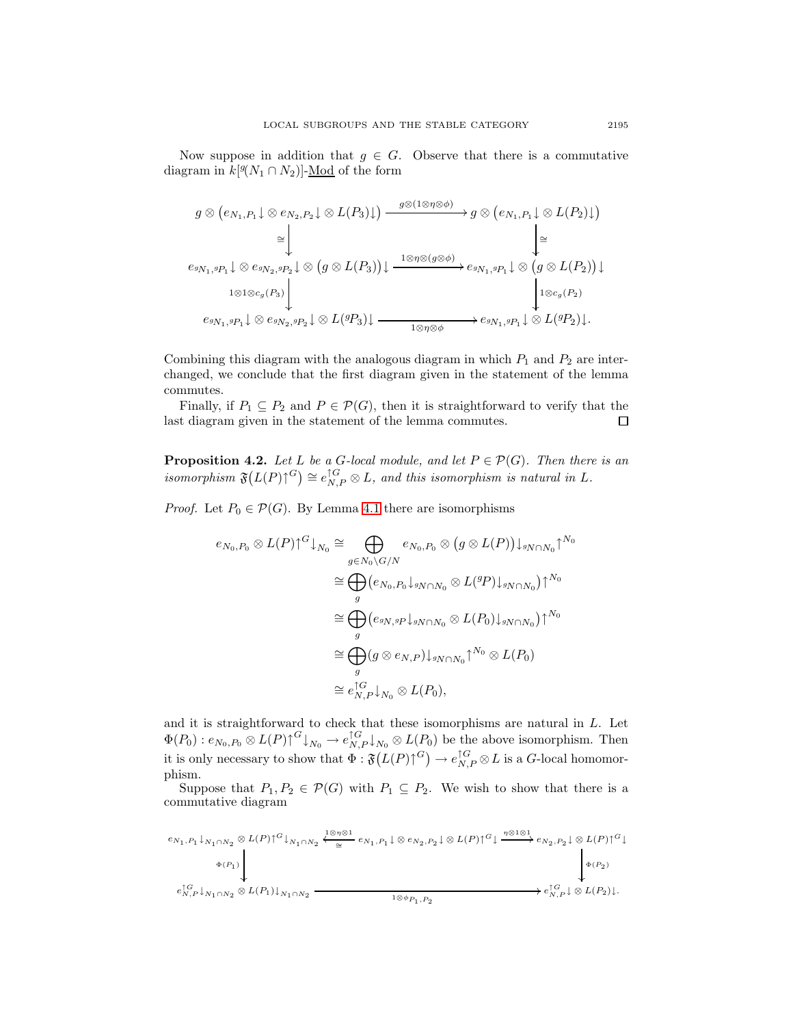Now suppose in addition that  $g \in G$ . Observe that there is a commutative diagram in  $k[\mathcal{Y}(N_1 \cap N_2)]$ -<u>Mod</u> of the form

$$
g \otimes (e_{N_1,P_1} \downarrow \otimes e_{N_2,P_2} \downarrow \otimes L(P_3) \downarrow) \xrightarrow{g \otimes (1 \otimes \eta \otimes \phi)} g \otimes (e_{N_1,P_1} \downarrow \otimes L(P_2) \downarrow)
$$
  
\n
$$
\cong \downarrow \qquad \qquad \downarrow \qquad \qquad \downarrow
$$
  
\n
$$
e_{g_{N_1,g_{P_1}} \downarrow \otimes e_{g_{N_2,g_{P_2}} \downarrow} \otimes (g \otimes L(P_3)) \downarrow \xrightarrow{1 \otimes \eta \otimes (g \otimes \phi)} e_{g_{N_1,g_{P_1}} \downarrow \otimes (g \otimes L(P_2)) \downarrow
$$
  
\n
$$
e_{g_{N_1,g_{P_1}} \downarrow \otimes e_{g_{N_2,g_{P_2}} \downarrow} \otimes L(g_{P_3}) \downarrow \xrightarrow{1 \otimes \eta \otimes \phi} e_{g_{N_1,g_{P_1}} \downarrow \otimes L(g_{P_2}) \downarrow}.
$$

Combining this diagram with the analogous diagram in which  $P_1$  and  $P_2$  are interchanged, we conclude that the first diagram given in the statement of the lemma commutes.

Finally, if  $P_1 \subseteq P_2$  and  $P \in \mathcal{P}(G)$ , then it is straightforward to verify that the last diagram given in the statement of the lemma commutes.  $\Box$ 

<span id="page-8-0"></span>**Proposition 4.2.** Let L be a G-local module, and let  $P \in \mathcal{P}(G)$ . Then there is an isomorphism  $\mathfrak{F}(L(P)\uparrow^{G}) \cong e_{N,P}^{\uparrow G} \otimes L$ , and this isomorphism is natural in L.

*Proof.* Let  $P_0 \in \mathcal{P}(G)$ . By Lemma [4.1](#page-7-0) there are isomorphisms

$$
e_{N_0,P_0} \otimes L(P) \uparrow^G \downarrow_{N_0} \cong \bigoplus_{g \in N_0 \setminus G/N} e_{N_0,P_0} \otimes (g \otimes L(P)) \downarrow_{gN \cap N_0} \uparrow^{N_0}
$$
  
\n
$$
\cong \bigoplus_g (e_{N_0,P_0} \downarrow_{gN \cap N_0} \otimes L(^gP) \downarrow_{gN \cap N_0}) \uparrow^{N_0}
$$
  
\n
$$
\cong \bigoplus_g (e_{gN,gP} \downarrow_{gN \cap N_0} \otimes L(P_0) \downarrow_{gN \cap N_0}) \uparrow^{N_0}
$$
  
\n
$$
\cong \bigoplus_g (g \otimes e_{N,P}) \downarrow_{gN \cap N_0} \uparrow^{N_0} \otimes L(P_0)
$$
  
\n
$$
\cong e_{N,P}^{\uparrow G} \downarrow_{N_0} \otimes L(P_0),
$$

and it is straightforward to check that these isomorphisms are natural in L. Let  $\Phi(P_0): e_{N_0,P_0}\otimes L(P)\uparrow^G \downarrow_{N_0} \to e_{N,P}^{\uparrow G}\downarrow_{N_0}\otimes L(P_0)$  be the above isomorphism. Then it is only necessary to show that  $\Phi : \mathfrak{F}(L(P)\uparrow^G) \to e_{N,P}^{\uparrow G} \otimes L$  is a G-local homomorphism.

Suppose that  $P_1, P_2 \in \mathcal{P}(G)$  with  $P_1 \subseteq P_2$ . We wish to show that there is a commutative diagram

<sup>e</sup>N1,P<sup>1</sup> <sup>↓</sup>N1∩N<sup>2</sup> <sup>⊗</sup> <sup>L</sup>(<sup>P</sup> )↑G↓N1∩N<sup>2</sup> Φ(P1) <sup>e</sup>N1,P<sup>1</sup> ↓ ⊗ <sup>e</sup>N2,P<sup>2</sup> ↓ ⊗ <sup>L</sup>(<sup>P</sup> )↑G<sup>↓</sup> <sup>∼</sup><sup>=</sup> <sup>1</sup>⊗η⊗<sup>1</sup> o <sup>η</sup>⊗1⊗<sup>1</sup> /<sup>e</sup>N2,P<sup>2</sup> ↓ ⊗ <sup>L</sup>(<sup>P</sup> )↑G<sup>↓</sup> Φ(P2) <sup>e</sup>↑<sup>G</sup> N,P <sup>↓</sup>N1∩N<sup>2</sup> <sup>⊗</sup> <sup>L</sup>(P1)↓N1∩N<sup>2</sup> <sup>1</sup>⊗φP1,P<sup>2</sup> /e↑<sup>G</sup> N,P ↓ ⊗ L(P2)↓.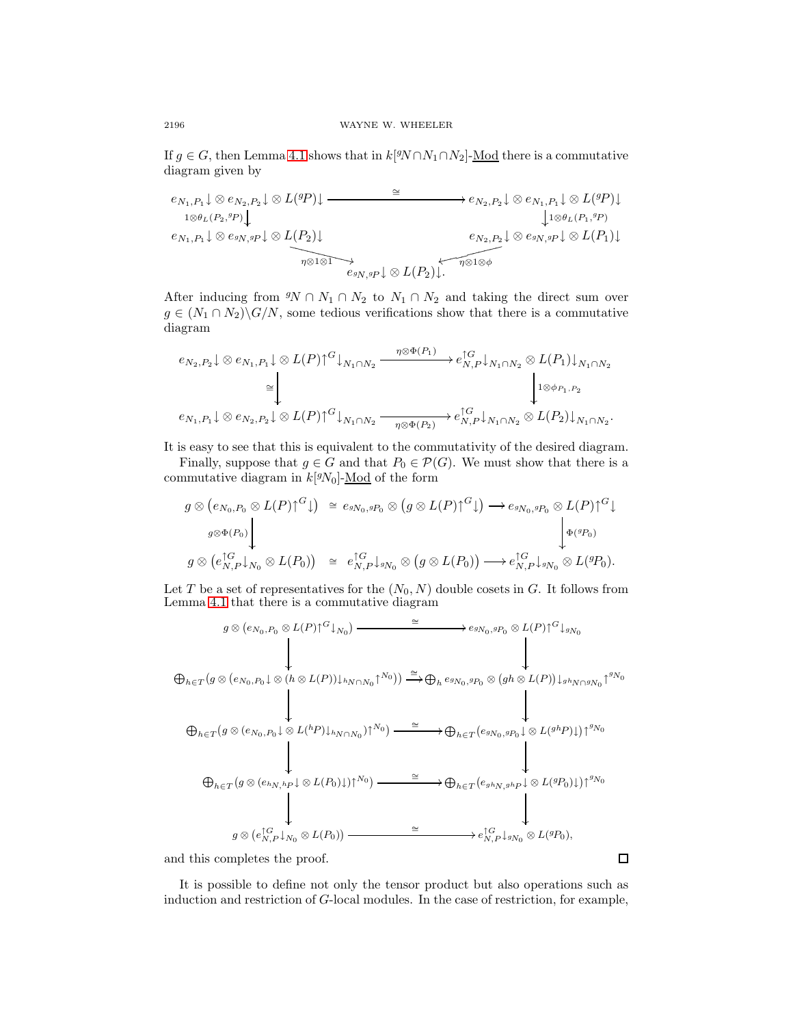If  $g \in G$ , then Lemma [4.1](#page-7-0) shows that in  $k[{}^gN \cap N_1 \cap N_2]$ -Mod there is a commutative diagram given by

$$
e_{N_1,P_1}\downarrow \otimes e_{N_2,P_2}\downarrow \otimes L(^{g}P)\downarrow \longrightarrow e_{N_2,P_2}\downarrow \otimes e_{N_1,P_1}\downarrow \otimes L(^{g}P)\downarrow
$$
  
\n
$$
e_{N_1,P_1}\downarrow \otimes e_{sN,sP}\downarrow \otimes L(P_2)\downarrow
$$
  
\n
$$
e_{N_1,P_1}\downarrow \otimes e_{sN,sP}\downarrow \otimes L(P_2)\downarrow
$$
  
\n
$$
e_{N_2,P_2}\downarrow \otimes e_{sN,sP}\downarrow \otimes L(P_1)\downarrow
$$
  
\n
$$
e_{sN,sP}\downarrow \otimes L(P_2)\downarrow
$$
  
\n
$$
e_{sN,sP}\downarrow \otimes L(P_2)\downarrow
$$
  
\n
$$
e_{sN,sP}\downarrow \otimes L(P_2)\downarrow
$$
  
\n
$$
e_{sN,sP}\downarrow \otimes L(P_2)\downarrow
$$
  
\n
$$
e_{sN,sP}\downarrow \otimes L(P_2)\downarrow
$$

After inducing from  $\mathcal{N} \cap N_1 \cap N_2$  to  $N_1 \cap N_2$  and taking the direct sum over  $g \in (N_1 \cap N_2) \backslash G/N$ , some tedious verifications show that there is a commutative diagram

$$
e_{N_2,P_2}\downarrow \otimes e_{N_1,P_1}\downarrow \otimes L(P){\uparrow}^G\downarrow_{N_1\cap N_2} \xrightarrow{\eta \otimes \Phi(P_1)} e_{N,P}^{\uparrow G}\downarrow_{N_1\cap N_2} \otimes L(P_1)\downarrow_{N_1\cap N_2}
$$

$$
\cong \qquad \qquad \downarrow \qquad \qquad \downarrow \otimes e_{P_1,P_2}
$$

$$
e_{N_1,P_1}\downarrow \otimes e_{N_2,P_2}\downarrow \otimes L(P){\uparrow}^G\downarrow_{N_1\cap N_2} \xrightarrow{\eta \otimes \Phi(P_2)} e_{N,P}^{\uparrow G}\downarrow_{N_1\cap N_2} \otimes L(P_2)\downarrow_{N_1\cap N_2}.
$$

It is easy to see that this is equivalent to the commutativity of the desired diagram.

Finally, suppose that  $g \in G$  and that  $P_0 \in \mathcal{P}(G)$ . We must show that there is a commutative diagram in  $k[<sup>g</sup>N<sub>0</sub>]$ - $\underline{\text{Mod}}$  of the form

$$
g \otimes (e_{N_0, P_0} \otimes L(P))^G \downarrow) \cong e_{g_{N_0}, g_{P_0}} \otimes (g \otimes L(P))^G \downarrow) \longrightarrow e_{g_{N_0}, g_{P_0}} \otimes L(P)^{\uparrow G} \downarrow
$$
  
\n
$$
g \otimes (e_{N, P}^{\uparrow G} \downarrow) \downarrow \qquad \qquad \downarrow \qquad \qquad \downarrow \qquad \qquad \downarrow \qquad \qquad \downarrow \qquad \qquad \downarrow \qquad \qquad \downarrow \qquad \qquad \downarrow \qquad \qquad \downarrow \qquad \qquad \downarrow \qquad \qquad \downarrow \qquad \qquad \downarrow \qquad \qquad \downarrow \qquad \qquad \downarrow \qquad \qquad \downarrow \qquad \qquad \downarrow \qquad \qquad \downarrow \qquad \qquad \downarrow \qquad \qquad \downarrow \qquad \qquad \downarrow \qquad \qquad \downarrow \qquad \qquad \downarrow \qquad \qquad \downarrow \qquad \qquad \downarrow \qquad \qquad \downarrow \qquad \qquad \downarrow \qquad \qquad \downarrow \qquad \qquad \downarrow \qquad \qquad \downarrow \qquad \qquad \downarrow \qquad \qquad \downarrow \qquad \qquad \downarrow \qquad \qquad \downarrow \qquad \qquad \downarrow \qquad \qquad \downarrow \qquad \qquad \downarrow \qquad \qquad \downarrow \qquad \qquad \downarrow \qquad \qquad \downarrow \qquad \qquad \downarrow \qquad \qquad \downarrow \qquad \qquad \downarrow \qquad \qquad \downarrow \qquad \qquad \downarrow \qquad \downarrow \qquad \qquad \downarrow \qquad \qquad \downarrow \qquad \qquad \downarrow \qquad \qquad \downarrow \qquad \qquad \downarrow \qquad \qquad \downarrow \qquad \qquad \downarrow \qquad \qquad \downarrow \qquad \qquad \downarrow \qquad \qquad \downarrow \qquad \qquad \downarrow \qquad \qquad \downarrow \qquad \qquad \downarrow \qquad \qquad \downarrow \qquad \qquad \downarrow \qquad \qquad \downarrow \qquad \qquad \downarrow \qquad \qquad \downarrow \qquad \qquad \downarrow \qquad \qquad \downarrow \qquad \qquad \downarrow \qquad \qquad \downarrow \qquad \qquad \downarrow \qquad \qquad \downarrow \qquad \qquad \downarrow \qquad \qquad \downarrow \qquad \qquad \
$$

Let T be a set of representatives for the  $(N_0, N)$  double cosets in G. It follows from Lemma [4.1](#page-7-0) that there is a commutative diagram

$$
g \otimes (e_{N_0, P_0} \otimes L(P))^G \downarrow_{N_0}) \longrightarrow e_{g_{N_0, g_{P_0}}} \otimes L(P)^{\uparrow G} \downarrow_{g_{N_0}}
$$
\n
$$
\oplus_{h \in T} (g \otimes (e_{N_0, P_0} \downarrow \otimes (h \otimes L(P)) \downarrow_{hN \cap N_0} \uparrow^{N_0})) \xrightarrow{\cong} \oplus_{h} e_{g_{N_0, g_{P_0}}} \otimes (gh \otimes L(P)) \downarrow_{g_{hN} \cap g_{N_0}} \uparrow^{g_{N_0}}
$$
\n
$$
\oplus_{h \in T} (g \otimes (e_{N_0, P_0} \downarrow \otimes L(P)) \downarrow_{hN \cap N_0}) \uparrow^{N_0}) \xrightarrow{\cong} \oplus_{h \in T} (e_{g_{N_0, g_{P_0}}} \downarrow \otimes L(g^{h}P) \downarrow) \uparrow^{g_{N_0}}
$$
\n
$$
\oplus_{h \in T} (g \otimes (e_{h_{N, hP}} \downarrow \otimes L(P_0) \downarrow) \uparrow^{N_0}) \xrightarrow{\cong} \oplus_{h \in T} (e_{g_{h_{N, g_{hP}}} \downarrow \otimes L(g^{g}P_0) \downarrow) \uparrow^{g_{N_0}}
$$
\n
$$
g \otimes (e_{N, P}^{\uparrow G} \downarrow_{N_0} \otimes L(P_0)) \xrightarrow{\cong} e_{N, P}^{\uparrow G} \downarrow_{g_{N_0}} \otimes L(g^{g}P_0),
$$

and this completes the proof.

It is possible to define not only the tensor product but also operations such as induction and restriction of G-local modules. In the case of restriction, for example,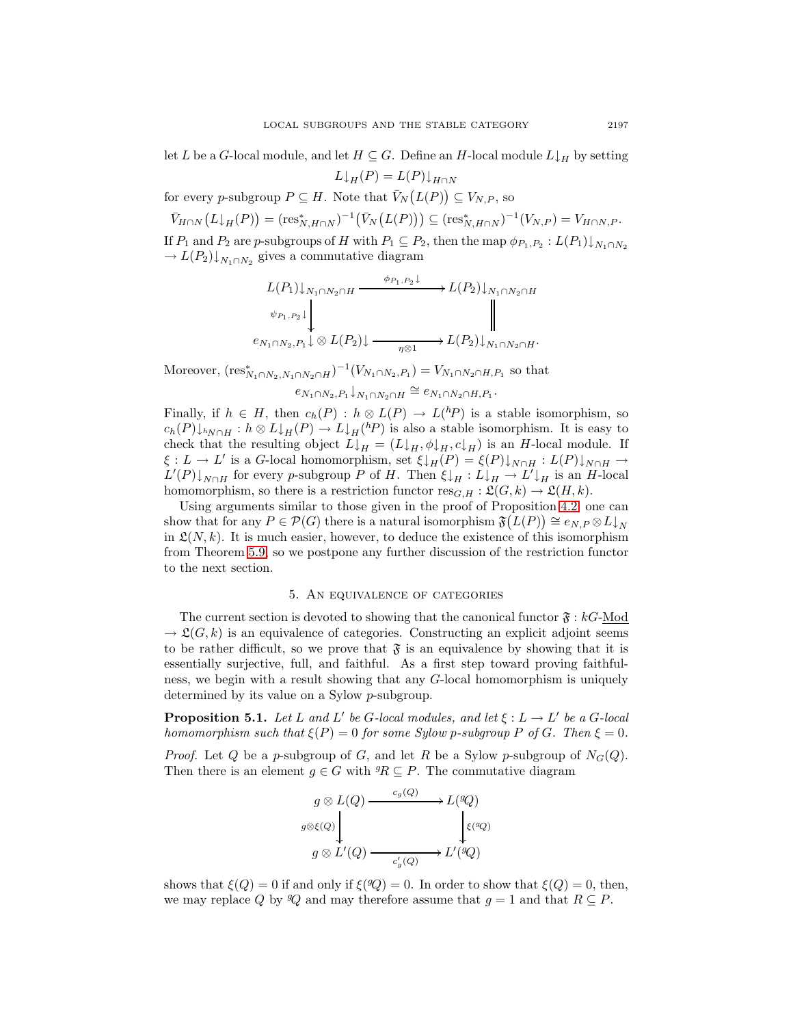let L be a G-local module, and let  $H \subseteq G$ . Define an H-local module  $L \downarrow_H$  by setting

 $L\downarrow_H(P) = L(P)\downarrow_{H\cap N}$ 

for every p-subgroup  $P \subseteq H$ . Note that  $\bar{V}_N(L(P)) \subseteq V_{N,P}$ , so

 $\bar{V}_{H\cap N}(L\downarrow_H(P)) = (\text{res}_{N,H\cap N}^*)^{-1}(\bar{V}_N(L(P))) \subseteq (\text{res}_{N,H\cap N}^*)^{-1}(V_{N,P}) = V_{H\cap N,P}.$ If  $P_1$  and  $P_2$  are p-subgroups of H with  $P_1 \subseteq P_2$ , then the map  $\phi_{P_1,P_2} : L(P_1) \downarrow_{N_1 \cap N_2}$  $\rightarrow L(P_2)\downarrow_{N_1\cap N_2}$  gives a commutative diagram

$$
L(P_1)\downarrow_{N_1\cap N_2\cap H} \xrightarrow{\phi_{P_1,P_2}\downarrow} L(P_2)\downarrow_{N_1\cap N_2\cap H}
$$
  
\n
$$
\psi_{P_1,P_2}\downarrow \qquad \qquad \downarrow
$$
  
\n
$$
e_{N_1\cap N_2,P_1}\downarrow \otimes L(P_2)\downarrow \xrightarrow{\eta \otimes 1} L(P_2)\downarrow_{N_1\cap N_2\cap H}.
$$

Moreover,  $(\text{res}_{N_1 \cap N_2, N_1 \cap N_2 \cap H}^*)^{-1}(V_{N_1 \cap N_2, P_1}) = V_{N_1 \cap N_2 \cap H, P_1}$  so that

 $e_{N_1\cap N_2,P_1}\downarrow_{N_1\cap N_2\cap H} \cong e_{N_1\cap N_2\cap H,P_1}$ .

Finally, if  $h \in H$ , then  $c_h(P) : h \otimes L(P) \to L({}^h P)$  is a stable isomorphism, so  $c_h(P) \downarrow_{hN \cap H} : h \otimes L \downarrow_H(P) \to L \downarrow_H(hP)$  is also a stable isomorphism. It is easy to check that the resulting object  $L\downarrow_H = (L\downarrow_H, \phi\downarrow_H, c\downarrow_H)$  is an H-local module. If  $\xi : L \to L'$  is a G-local homomorphism, set  $\xi \downarrow_H(P) = \xi(P) \downarrow_{N \cap H} : L(P) \downarrow_{N \cap H} \to$  $L'(P) \downarrow_{N \cap H}$  for every p-subgroup P of H. Then  $\xi \downarrow_H : L \downarrow_H \to L' \downarrow_H$  is an H-local homomorphism, so there is a restriction functor  $res_{G,H} : \mathfrak{L}(G, k) \to \mathfrak{L}(H, k)$ .

Using arguments similar to those given in the proof of Proposition [4.2,](#page-8-0) one can show that for any  $P \in \mathcal{P}(G)$  there is a natural isomorphism  $\mathfrak{F}(L(P)) \cong e_{N,P} \otimes L\downarrow_N$ in  $\mathfrak{L}(N, k)$ . It is much easier, however, to deduce the existence of this isomorphism from Theorem [5.9,](#page-17-0) so we postpone any further discussion of the restriction functor to the next section.

## 5. An equivalence of categories

The current section is devoted to showing that the canonical functor  $\mathfrak{F}:kG\text{-Mod}$  $\rightarrow \mathfrak{L}(G, k)$  is an equivalence of categories. Constructing an explicit adjoint seems to be rather difficult, so we prove that  $\mathfrak{F}$  is an equivalence by showing that it is essentially surjective, full, and faithful. As a first step toward proving faithfulness, we begin with a result showing that any G-local homomorphism is uniquely determined by its value on a Sylow p-subgroup.

<span id="page-10-0"></span>**Proposition 5.1.** Let L and L' be G-local modules, and let  $\xi : L \to L'$  be a G-local homomorphism such that  $\xi(P)=0$  for some Sylow p-subgroup P of G. Then  $\xi = 0$ .

*Proof.* Let Q be a p-subgroup of G, and let R be a Sylow p-subgroup of  $N_G(Q)$ . Then there is an element  $g \in G$  with  ${}^g R \subseteq P$ . The commutative diagram

$$
g \otimes L(Q) \xrightarrow{c_g(Q)} L({}^gQ)
$$
  

$$
g \otimes L'(Q) \xrightarrow{c'_g(Q)} L'({}^gQ)
$$
  

$$
g \otimes L'(Q) \xrightarrow{c'_g(Q)} L'({}^gQ)
$$

shows that  $\xi(Q) = 0$  if and only if  $\xi(Q) = 0$ . In order to show that  $\xi(Q) = 0$ , then, we may replace Q by  $\mathcal{Q}$  and may therefore assume that  $g = 1$  and that  $R \subseteq P$ .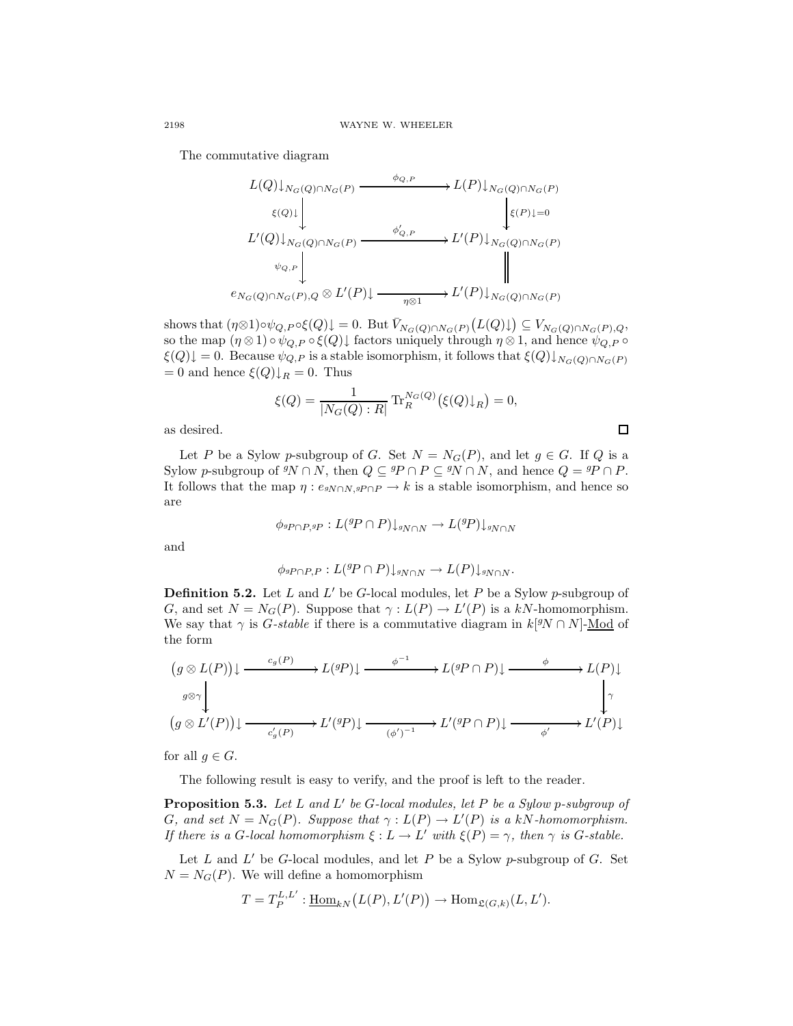The commutative diagram

$$
L(Q)\downarrow_{N_G(Q)\cap N_G(P)} \xrightarrow{\phi_{Q,P}} L(P)\downarrow_{N_G(Q)\cap N_G(P)} \downarrow_{\mathcal{E}(P)\downarrow_Q}
$$
  
\n
$$
L'(Q)\downarrow_{N_G(Q)\cap N_G(P)} \xrightarrow{\phi'_{Q,P}} L'(P)\downarrow_{N_G(Q)\cap N_G(P)} \downarrow_{\mathcal{E}(P)\downarrow_Q}
$$
  
\n
$$
e_{N_G(Q)\cap N_G(P), Q} \otimes L'(P)\downarrow \xrightarrow{\eta \otimes 1} L'(P)\downarrow_{N_G(Q)\cap N_G(P)}
$$

shows that  $(\eta \otimes 1) \circ \psi_{Q,P} \circ \xi(Q) \downarrow = 0$ . But  $\overline{V}_{N_G(Q) \cap N_G(P)}(L(Q) \downarrow) \subseteq V_{N_G(Q) \cap N_G(P),Q}$ , so the map  $(\eta \otimes 1) \circ \psi_{Q,P} \circ \xi(Q)$  factors uniquely through  $\eta \otimes 1$ , and hence  $\psi_{Q,P} \circ \xi(Q)$  $\xi(Q)\downarrow = 0$ . Because  $\psi_{Q,P}$  is a stable isomorphism, it follows that  $\xi(Q)\downarrow_{N_G(Q)\cap N_G(P)}$  $= 0$  and hence  $\xi(Q)\downarrow_R = 0$ . Thus

$$
\xi(Q) = \frac{1}{|N_G(Q) : R|} \text{Tr}_R^{N_G(Q)}(\xi(Q)\downarrow_R) = 0,
$$

 $\Box$ 

as desired.

Let P be a Sylow p-subgroup of G. Set  $N = N_G(P)$ , and let  $g \in G$ . If Q is a Sylow p-subgroup of  ${}^gN \cap N$ , then  $Q \subseteq {}^gP \cap P \subseteq {}^gN \cap N$ , and hence  $Q = {}^gP \cap P$ . It follows that the map  $\eta : e_{\text{SN} \cap N, \text{SP} \cap P} \to k$  is a stable isomorphism, and hence so are

$$
\phi_{^gP \cap P, ^gP}: L(^gP \cap P) \downarrow_{^gN \cap N} \to L(^gP) \downarrow_{^gN \cap N}
$$

and

$$
\phi_{^gP \cap P,P}: L({}^gP \cap P) \downarrow_{^gN \cap N} \to L(P) \downarrow_{^gN \cap N}.
$$

**Definition 5.2.** Let L and L' be G-local modules, let P be a Sylow p-subgroup of G, and set  $N = N_G(P)$ . Suppose that  $\gamma : L(P) \to L'(P)$  is a kN-homomorphism. We say that  $\gamma$  is *G-stable* if there is a commutative diagram in  $k[9N \cap N]$ -Mod of the form

$$
(g \otimes L(P)) \downarrow \xrightarrow{c_g(P)} L^{(g)} \downarrow L^{(g)} \downarrow \xrightarrow{f} L^{(g)} \downarrow L^{(g)} \downarrow L^{(g)} \downarrow L^{(g)} \downarrow L^{(g)} \downarrow L^{(g)} \downarrow L^{(g)} \downarrow L^{(g)} \downarrow L^{(g)} \downarrow L^{(g)} \downarrow L^{(g)} \downarrow L^{(g)} \downarrow L^{(g)} \downarrow L^{(g)} \downarrow L^{(g)} \downarrow L^{(g)} \downarrow L^{(g)} \downarrow L^{(g)} \downarrow L^{(g)} \downarrow L^{(g)} \downarrow L^{(g)} \downarrow L^{(g)} \downarrow L^{(g)} \downarrow L^{(g)} \downarrow L^{(g)} \downarrow L^{(g)} \downarrow L^{(g)} \downarrow L^{(g)} \downarrow L^{(g)} \downarrow L^{(g)} \downarrow L^{(g)} \downarrow L^{(g)} \downarrow L^{(g)} \downarrow L^{(g)} \downarrow L^{(g)} \downarrow L^{(g)} \downarrow L^{(g)} \downarrow L^{(g)} \downarrow L^{(g)} \downarrow L^{(g)} \downarrow L^{(g)} \downarrow L^{(g)} \downarrow L^{(g)} \downarrow L^{(g)} \downarrow L^{(g)} \downarrow L^{(g)} \downarrow L^{(g)} \downarrow L^{(g)} \downarrow L^{(g)} \downarrow L^{(g)} \downarrow L^{(g)} \downarrow L^{(g)} \downarrow L^{(g)} \downarrow L^{(g)} \downarrow L^{(g)} \downarrow L^{(g)} \downarrow L^{(g)} \downarrow L^{(g)} \downarrow L^{(g)} \downarrow L^{(g)} \downarrow L^{(g)} \downarrow L^{(g)} \downarrow L^{(g)} \downarrow L^{(g)} \downarrow L^{(g)} \downarrow L^{(g)} \downarrow L^{(g)} \downarrow L^{(g)} \downarrow L^{(g)} \downarrow L^{(g)} \downarrow L^{(g)} \downarrow L^{(g)} \downarrow L^{(g)} \downarrow L^{(g)} \downarrow L^{(g)} \downarrow L^{(g)} \downarrow L^{(g)} \downarrow L^{(g)} \downarrow L^{(g)} \downarrow L^{(g)} \downarrow L^{(g)} \downarrow L^{(g)} \downarrow L^{(g)} \downarrow L^{(g)} \downarrow L^{(g)} \downarrow L^{(g)} \downarrow L^{(g)} \downarrow L^{(g)} \downarrow L^{(g)} \downarrow L^{(g)} \down
$$

for all  $q \in G$ .

The following result is easy to verify, and the proof is left to the reader.

<span id="page-11-0"></span>**Proposition 5.3.** Let L and L' be G-local modules, let P be a Sylow p-subgroup of G, and set  $N = N_G(P)$ . Suppose that  $\gamma : L(P) \to L'(P)$  is a kN-homomorphism. If there is a G-local homomorphism  $\xi : L \to L'$  with  $\xi(P) = \gamma$ , then  $\gamma$  is G-stable.

Let  $L$  and  $L'$  be G-local modules, and let  $P$  be a Sylow p-subgroup of  $G$ . Set  $N = N<sub>G</sub>(P)$ . We will define a homomorphism

$$
T = T_P^{L,L'} : \underline{\text{Hom}}_{kN}(L(P), L'(P)) \to \text{Hom}_{\mathfrak{L}(G,k)}(L, L').
$$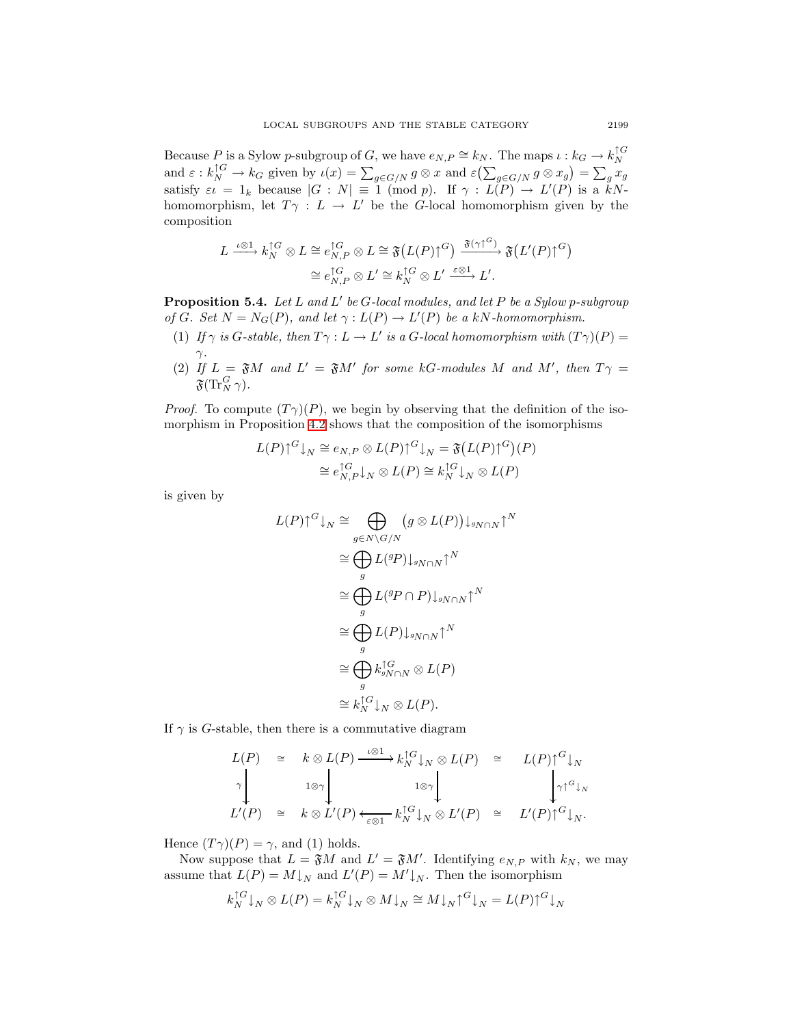Because P is a Sylow p-subgroup of G, we have  $e_{N,P} \cong k_N$ . The maps  $\iota : k_G \to k_N^{\uparrow G}$ and  $\varepsilon : k_N^{1G} \to k_G$  given by  $\iota(x) = \sum_{g \in G/N} g \otimes x$  and  $\varepsilon(\sum_{g \in G/N} g \otimes x_g) = \sum_g x_g$ satisfy  $\varepsilon \iota = 1_k$  because  $|G : N| \equiv 1 \pmod{p}$ . If  $\gamma : L(P) \to L'(P)$  is a kNhomomorphism, let  $T\gamma : L \to L'$  be the G-local homomorphism given by the composition

$$
L \xrightarrow{\iota \otimes 1} k_N^{\uparrow G} \otimes L \cong e_{N,P}^{\uparrow G} \otimes L \cong \mathfrak{F}\big(L(P)\uparrow^G\big) \xrightarrow{\mathfrak{F}(\gamma \uparrow^G)} \mathfrak{F}\big(L'(P)\uparrow^G\big) \cong e_{N,P}^{\uparrow G} \otimes L' \cong k_N^{\uparrow G} \otimes L' \xrightarrow{\varepsilon \otimes 1} L'.
$$

<span id="page-12-0"></span>**Proposition 5.4.** Let L and L' be G-local modules, and let P be a Sylow p-subgroup of G. Set  $N = N_G(P)$ , and let  $\gamma : L(P) \to L'(P)$  be a kN-homomorphism.

- (1) If  $\gamma$  is G-stable, then  $T\gamma : L \to L'$  is a G-local homomorphism with  $(T\gamma)(P) =$  $\gamma$ .
- (2) If  $L = \mathfrak{F}M$  and  $L' = \mathfrak{F}M'$  for some kG-modules M and M', then  $T\gamma =$  $\mathfrak{F}(\text{Tr}^G_N\,\gamma).$

*Proof.* To compute  $(T\gamma)(P)$ , we begin by observing that the definition of the isomorphism in Proposition [4.2](#page-8-0) shows that the composition of the isomorphisms

$$
L(P)\uparrow^{G}\downarrow_{N} \cong e_{N,P} \otimes L(P)\uparrow^{G}\downarrow_{N} = \mathfrak{F}\big(L(P)\uparrow^{G}\big)(P)
$$

$$
\cong e_{N,P}^{\uparrow G}\downarrow_{N} \otimes L(P) \cong k_{N}^{\uparrow G}\downarrow_{N} \otimes L(P)
$$

is given by

$$
L(P)\uparrow^{G}\downarrow_{N} \cong \bigoplus_{g\in N\backslash G/N} (g\otimes L(P))\downarrow_{gN\cap N}\uparrow^{N}
$$

$$
\cong \bigoplus_{g} L(^{g}P)\downarrow_{gN\cap N}\uparrow^{N}
$$

$$
\cong \bigoplus_{g} L(^{g}P\cap P)\downarrow_{gN\cap N}\uparrow^{N}
$$

$$
\cong \bigoplus_{g} L(P)\downarrow_{gN\cap N}\uparrow^{N}
$$

$$
\cong \bigoplus_{g} k_{gN\cap N}^{\uparrow G} \otimes L(P)
$$

$$
\cong k_{N}^{\uparrow G}\downarrow_{N} \otimes L(P).
$$

If  $\gamma$  is G-stable, then there is a commutative diagram

$$
L(P) \cong k \otimes L(P) \xrightarrow{\iota \otimes 1} k_N^{\uparrow G} \downarrow_N \otimes L(P) \cong L(P) \uparrow^G \downarrow_N
$$
  
\n
$$
\uparrow \qquad \qquad \downarrow \qquad \downarrow \qquad \downarrow \qquad \downarrow \qquad \downarrow \qquad \downarrow \qquad \downarrow \qquad \downarrow \qquad \downarrow \qquad \downarrow \qquad \downarrow \qquad \downarrow \qquad \downarrow \qquad \downarrow \qquad \downarrow \qquad \downarrow \qquad \downarrow \qquad \downarrow \qquad \downarrow \qquad \downarrow \qquad \downarrow \qquad \downarrow \qquad \downarrow \qquad \downarrow \qquad \downarrow \qquad \downarrow \qquad \downarrow \qquad \downarrow \qquad \downarrow \qquad \downarrow \qquad \downarrow \qquad \downarrow \qquad \downarrow \qquad \downarrow \qquad \downarrow \qquad \downarrow \qquad \downarrow \qquad \downarrow \qquad \downarrow \qquad \downarrow \qquad \downarrow \qquad \downarrow \qquad \downarrow \qquad \downarrow \qquad \downarrow \qquad \downarrow \qquad \downarrow \qquad \downarrow \qquad \downarrow \qquad \downarrow \qquad \downarrow \qquad \downarrow \qquad \downarrow \qquad \downarrow \qquad \downarrow \qquad \downarrow \qquad \downarrow \qquad \downarrow \qquad \downarrow \qquad \downarrow \qquad \downarrow \qquad \downarrow \qquad \downarrow \qquad \downarrow \qquad \downarrow \qquad \downarrow \qquad \downarrow \qquad \downarrow \qquad \downarrow \qquad \downarrow \qquad \downarrow \qquad \downarrow \qquad \downarrow \qquad \downarrow \qquad \downarrow \qquad \downarrow \qquad \downarrow \qquad \downarrow \qquad \downarrow \qquad \downarrow \qquad \downarrow \qquad \downarrow \qquad \downarrow \qquad \downarrow \qquad \downarrow \qquad \downarrow \qquad \downarrow \qquad \downarrow \qquad \downarrow \qquad \downarrow \qquad \downarrow \qquad \downarrow \qquad \downarrow \qquad \downarrow \qquad \downarrow \qquad \downarrow \qquad \downarrow \qquad \downarrow \qquad \downarrow \qquad \downarrow \qquad \downarrow \qquad \downarrow \qquad \downarrow \qquad \downarrow \qquad \downarrow \qquad \downarrow \qquad \downarrow \qquad \downarrow \qquad \downarrow \qquad \downarrow \qquad \downarrow \qquad \downarrow \qquad \downarrow \qquad \downarrow
$$

Hence  $(T\gamma)(P) = \gamma$ , and (1) holds.

Now suppose that  $L = \mathfrak{F}M$  and  $L' = \mathfrak{F}M'$ . Identifying  $e_{N,P}$  with  $k_N$ , we may assume that  $L(P) = M\downarrow_N$  and  $L'(P) = M'\downarrow_N$ . Then the isomorphism

$$
k_N^{\uparrow G}\downarrow_N \otimes L(P) = k_N^{\uparrow G}\downarrow_N \otimes M\downarrow_N \cong M\downarrow_N \uparrow^G\downarrow_N = L(P)\uparrow^G\downarrow_N
$$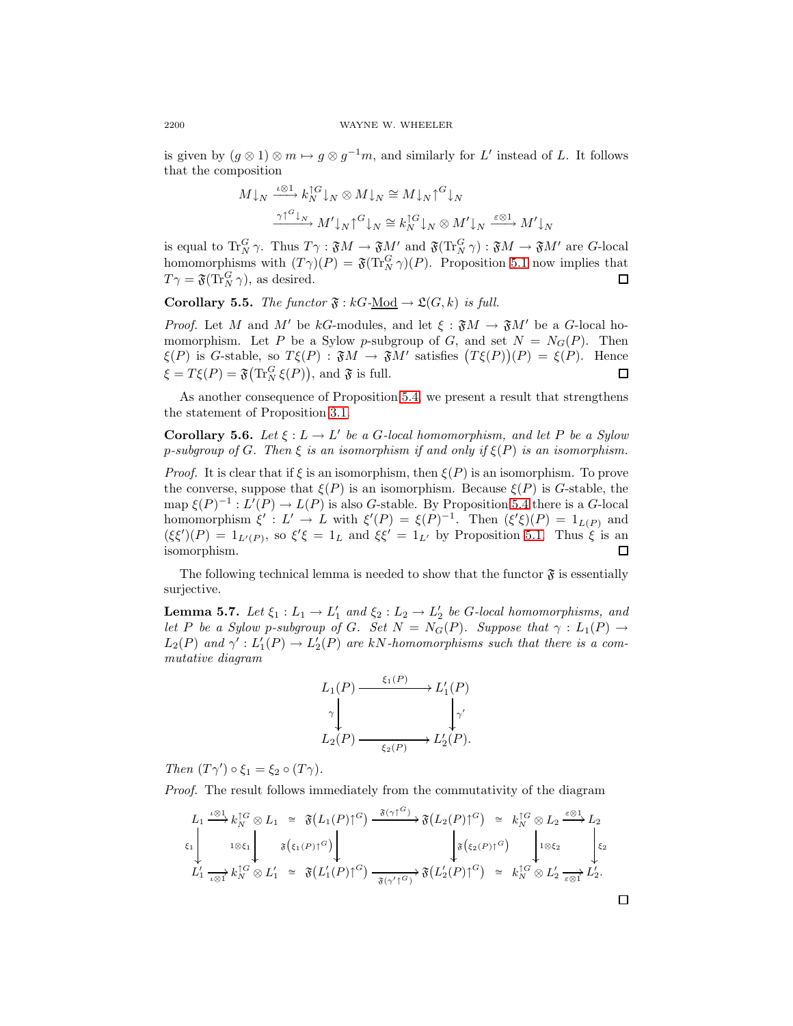is given by  $(g \otimes 1) \otimes m \mapsto g \otimes g^{-1}m$ , and similarly for L' instead of L. It follows that the composition

$$
M \downarrow_N \xrightarrow{\iota \otimes 1} k_N^{\uparrow G} \downarrow_N \otimes M \downarrow_N \cong M \downarrow_N \uparrow^G \downarrow_N
$$

$$
\xrightarrow{\gamma \uparrow^G \downarrow_N} M' \downarrow_N \uparrow^G \downarrow_N \cong k_N^{\uparrow G} \downarrow_N \otimes M' \downarrow_N \xrightarrow{\varepsilon \otimes 1} M' \downarrow_N
$$

is equal to  $\operatorname{Tr}^G_N \gamma$ . Thus  $T\gamma$ :  $\mathfrak{F}M \to \mathfrak{F}M'$  and  $\mathfrak{F}(\operatorname{Tr}^G_N \gamma)$ :  $\mathfrak{F}M \to \mathfrak{F}M'$  are G-local homomorphisms with  $(T\gamma)(P) = \mathfrak{F}(T_N^G \gamma)(P)$ . Proposition [5.1](#page-10-0) now implies that  $T\gamma = \mathfrak{F}(\text{Tr}_N^G \gamma)$ , as desired.  $\Box$ 

<span id="page-13-2"></span>**Corollary 5.5.** The functor  $\mathfrak{F}: kG-\underline{Mod} \to \mathfrak{L}(G,k)$  is full.

*Proof.* Let M and M' be kG-modules, and let  $\xi : \mathfrak{F}M \to \mathfrak{F}M'$  be a G-local homomorphism. Let P be a Sylow p-subgroup of G, and set  $N = N<sub>G</sub>(P)$ . Then  $\xi(P)$  is G-stable, so  $T\xi(P)$ :  $\mathfrak{F}M \to \mathfrak{F}M'$  satisfies  $(T\xi(P))(P) = \xi(P)$ . Hence  $\xi = T\xi(P) = \mathfrak{F}(\text{Tr}_N^G \xi(P)),$  and  $\mathfrak{F}$  is full. 口

<span id="page-13-1"></span>As another consequence of Proposition [5.4,](#page-12-0) we present a result that strengthens the statement of Proposition [3.1.](#page-6-0)

**Corollary 5.6.** Let  $\xi : L \to L'$  be a G-local homomorphism, and let P be a Sylow p-subgroup of G. Then  $\xi$  is an isomorphism if and only if  $\xi(P)$  is an isomorphism.

*Proof.* It is clear that if  $\xi$  is an isomorphism, then  $\xi(P)$  is an isomorphism. To prove the converse, suppose that  $\xi(P)$  is an isomorphism. Because  $\xi(P)$  is G-stable, the map  $\xi(P)^{-1}: L'(P) \to L(P)$  is also G-stable. By Proposition [5.4](#page-12-0) there is a G-local homomorphism  $\xi' : L' \to L$  with  $\xi'(P) = \xi(P)^{-1}$ . Then  $(\xi'\xi)(P) = 1_{L(P)}$  and  $(\xi \xi')(P) = 1_{L'(P)}$ , so  $\xi' \xi = 1_L$  and  $\xi \xi' = 1_{L'}$  by Proposition [5.1.](#page-10-0) Thus  $\xi$  is an isomorphism. 口

<span id="page-13-0"></span>The following technical lemma is needed to show that the functor  $\mathfrak{F}$  is essentially surjective.

**Lemma 5.7.** Let  $\xi_1: L_1 \to L'_1$  and  $\xi_2: L_2 \to L'_2$  be G-local homomorphisms, and let P be a Sylow p-subgroup of G. Set  $N = N_G(P)$ . Suppose that  $\gamma : L_1(P) \to$  $L_2(P)$  and  $\gamma' : L'_1(P) \to L'_2(P)$  are kN-homomorphisms such that there is a commutative diagram



Then  $(T\gamma') \circ \xi_1 = \xi_2 \circ (T\gamma)$ .

Proof. The result follows immediately from the commutativity of the diagram

$$
L_1 \xrightarrow{\iota \otimes 1} k_N^{\uparrow G} \otimes L_1 \cong \mathfrak{F}(L_1(P)\uparrow^G) \xrightarrow{\mathfrak{F}(\gamma \uparrow^G)} \mathfrak{F}(L_2(P)\uparrow^G) \cong k_N^{\uparrow G} \otimes L_2 \xrightarrow{\varepsilon \otimes 1} L_2
$$
  
\n
$$
\xi_1 \downarrow \qquad \qquad \xi_2 \downarrow \qquad \qquad \xi_3 \left( \xi_1(P)\uparrow^G \right) \downarrow \qquad \qquad \xi_4 \downarrow \qquad \qquad \xi_5 \left( \xi_2(P)\uparrow^G \right) \downarrow \qquad \qquad \xi_6 \downarrow \qquad \qquad \xi_7 \downarrow \qquad \qquad \xi_8 \downarrow \qquad \qquad \xi_9 \downarrow \qquad \qquad \xi_9 \downarrow \qquad \qquad \xi_1 \downarrow \qquad \qquad \xi_2 \downarrow \qquad \qquad \xi_3 \downarrow \qquad \qquad \xi_4 \downarrow \qquad \qquad \xi_5 \downarrow \qquad \qquad \xi_6 \downarrow \qquad \qquad \xi_7 \downarrow \qquad \qquad \xi_8 \downarrow \qquad \qquad \xi_9 \downarrow \qquad \qquad \xi_9 \downarrow \qquad \qquad \xi_1 \downarrow \qquad \qquad \xi_2 \downarrow \qquad \qquad \xi_3 \downarrow \qquad \qquad \xi_4 \downarrow \qquad \qquad \xi_5 \downarrow \qquad \qquad \xi_7 \downarrow \qquad \qquad \xi_8 \downarrow \qquad \qquad \xi_9 \downarrow \qquad \qquad \xi_9 \downarrow \qquad \qquad \xi_9 \downarrow \qquad \qquad \xi_1 \downarrow \qquad \qquad \xi_1 \downarrow \qquad \qquad \xi_2 \downarrow \qquad \qquad \xi_3 \downarrow \qquad \qquad \xi_1 \downarrow \qquad \qquad \xi_2 \downarrow \qquad \qquad \xi_3 \downarrow \qquad \qquad \xi_3 \downarrow \qquad \qquad \xi_4 \downarrow \qquad \qquad \xi_5 \downarrow \qquad \qquad \xi_7 \downarrow \qquad \qquad \xi_8 \downarrow \qquad \qquad \xi_9 \downarrow \qquad \qquad \xi_9 \downarrow \qquad \qquad \xi_1 \downarrow \qquad \qquad \xi_1 \downarrow \qquad \qquad \
$$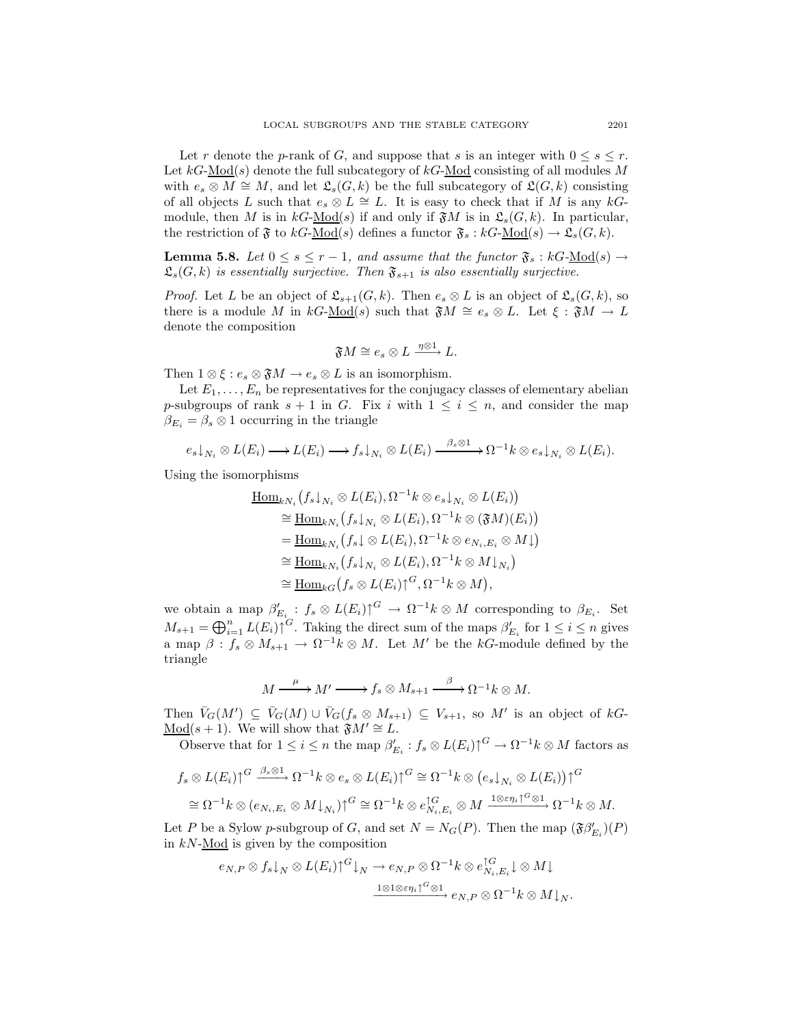Let r denote the p-rank of G, and suppose that s is an integer with  $0 \leq s \leq r$ . Let  $kG\text{-Mod}(s)$  denote the full subcategory of  $kG\text{-Mod}$  consisting of all modules M with  $e_s \otimes M \cong M$ , and let  $\mathfrak{L}_s(G,k)$  be the full subcategory of  $\mathfrak{L}(G,k)$  consisting of all objects L such that  $e_s \otimes L \cong L$ . It is easy to check that if M is any kGmodule, then M is in  $k\text{-Mod}(s)$  if and only if  $\mathfrak{F}M$  is in  $\mathfrak{L}_s(G, k)$ . In particular, the restriction of  $\mathfrak F$  to  $kG\text{-Mod}(s)$  defines a functor  $\mathfrak F_s : kG\text{-Mod}(s) \to \mathfrak L_s(G, k)$ .

<span id="page-14-0"></span>**Lemma 5.8.** Let  $0 \leq s \leq r-1$ , and assume that the functor  $\mathfrak{F}_s : kG\text{-Mod}(s) \to$  $\mathfrak{L}_{s}(G, k)$  is essentially surjective. Then  $\mathfrak{F}_{s+1}$  is also essentially surjective.

*Proof.* Let L be an object of  $\mathfrak{L}_{s+1}(G, k)$ . Then  $e_s \otimes L$  is an object of  $\mathfrak{L}_s(G, k)$ , so there is a module M in  $kG\text{-Mod}(s)$  such that  $\mathfrak{F}M \cong e_s \otimes L$ . Let  $\xi : \mathfrak{F}M \to L$ denote the composition

$$
\mathfrak{F} M \cong e_s \otimes L \xrightarrow{\eta \otimes 1} L.
$$

Then  $1 \otimes \xi : e_s \otimes \mathfrak{F}M \to e_s \otimes L$  is an isomorphism.

Let  $E_1,\ldots,E_n$  be representatives for the conjugacy classes of elementary abelian p-subgroups of rank  $s + 1$  in G. Fix i with  $1 \leq i \leq n$ , and consider the map  $\beta_{E_i} = \beta_s \otimes 1$  occurring in the triangle

$$
e_s\downarrow_{N_i} \otimes L(E_i) \longrightarrow L(E_i) \longrightarrow f_s\downarrow_{N_i} \otimes L(E_i) \longrightarrow \frac{\beta_s \otimes 1}{\beta_s \otimes 1} \longrightarrow \Omega^{-1}k \otimes e_s\downarrow_{N_i} \otimes L(E_i).
$$

Using the isomorphisms

$$
\underline{\operatorname{Hom}}_{kN_i}\big(f_s\downarrow_{N_i}\otimes L(E_i),\Omega^{-1}k\otimes e_s\downarrow_{N_i}\otimes L(E_i)\big) \cong \underline{\operatorname{Hom}}_{kN_i}\big(f_s\downarrow_{N_i}\otimes L(E_i),\Omega^{-1}k\otimes (\mathfrak{F}M)(E_i)\big) \n= \underline{\operatorname{Hom}}_{kN_i}\big(f_s\downarrow\otimes L(E_i),\Omega^{-1}k\otimes e_{N_i,E_i}\otimes M\downarrow\big) \cong \underline{\operatorname{Hom}}_{kN_i}\big(f_s\downarrow_{N_i}\otimes L(E_i),\Omega^{-1}k\otimes M\downarrow_{N_i}\big) \cong \underline{\operatorname{Hom}}_{kG}\big(f_s\otimes L(E_i)\big)^G,\Omega^{-1}k\otimes M\big),
$$

we obtain a map  $\beta'_{E_i} : f_s \otimes L(E_i) \uparrow^G \to \Omega^{-1} k \otimes M$  corresponding to  $\beta_{E_i}$ . Set  $M_{s+1} = \bigoplus_{i=1}^{n} L(E_i) \cap G$ . Taking the direct sum of the maps  $\beta'_{E_i}$  for  $1 \leq i \leq n$  gives a map  $\beta: f_s \otimes M_{s+1} \to \Omega^{-1} k \otimes M$ . Let  $M'$  be the kG-module defined by the triangle

$$
M \xrightarrow{\mu} M' \xrightarrow{\mu} f_s \otimes M_{s+1} \xrightarrow{\beta} \Omega^{-1} k \otimes M.
$$

Then  $\bar{V}_G(M') \subseteq \bar{V}_G(M) \cup \bar{V}_G(f_s \otimes M_{s+1}) \subseteq V_{s+1}$ , so M' is an object of  $kG$ -Mod(s + 1). We will show that  $\mathfrak{F}M' \cong L$ .

Observe that for  $1 \leq i \leq n$  the map  $\beta'_{E_i} : f_s \otimes L(E_i) \uparrow^G \to \Omega^{-1} k \otimes M$  factors as

$$
f_s \otimes L(E_i) \uparrow^{G} \xrightarrow{\beta_s \otimes 1} \Omega^{-1} k \otimes e_s \otimes L(E_i) \uparrow^{G} \cong \Omega^{-1} k \otimes (e_s \downarrow_{N_i} \otimes L(E_i)) \uparrow^{G}
$$
  

$$
\cong \Omega^{-1} k \otimes (e_{N_i, E_i} \otimes M \downarrow_{N_i}) \uparrow^{G} \cong \Omega^{-1} k \otimes e_{N_i, E_i}^{\uparrow G} \otimes M \xrightarrow{1 \otimes \varepsilon_{N_i} \uparrow^{G} \otimes 1} \Omega^{-1} k \otimes M.
$$

Let P be a Sylow p-subgroup of G, and set  $N = N_G(P)$ . Then the map  $(\mathfrak{F}\beta'_{E_i})(P)$ in  $kN$ -Mod is given by the composition

$$
e_{N,P} \otimes f_s \downarrow_N \otimes L(E_i) \uparrow^G \downarrow_N \to e_{N,P} \otimes \Omega^{-1} k \otimes e_{N_i,E_i}^{\uparrow G} \downarrow \otimes M \downarrow
$$

$$
\xrightarrow{\mathbf{1} \otimes \mathbf{1} \otimes \varepsilon \eta_i \uparrow^G \otimes \mathbf{1}} e_{N,P} \otimes \Omega^{-1} k \otimes M \downarrow_N.
$$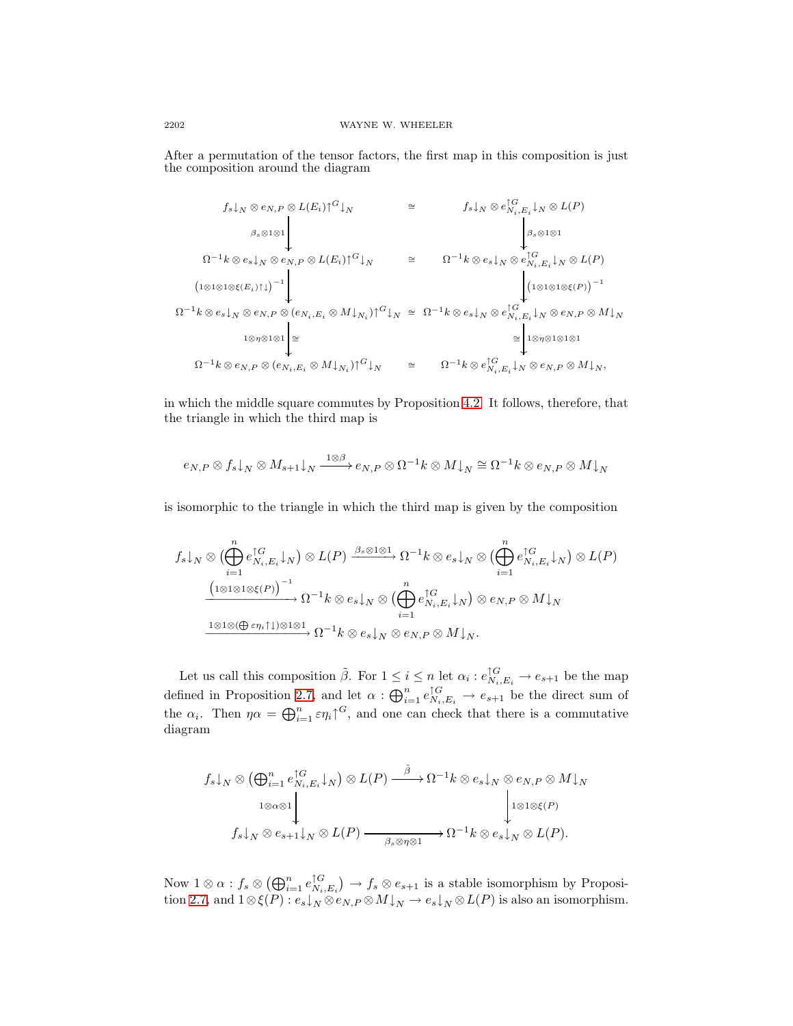After a permutation of the tensor factors, the first map in this composition is just the composition around the diagram

$$
f_{s}|_{N} \otimes e_{N,P} \otimes L(E_{i}) \uparrow^{G}|_{N} \cong f_{s}|_{N} \otimes e_{N_{i},E_{i}}^{\uparrow G}|_{N} \otimes L(P)
$$
\n
$$
\Omega^{-1}k \otimes e_{s}|_{N} \otimes e_{N,P} \otimes L(E_{i}) \uparrow^{G}|_{N} \cong \Omega^{-1}k \otimes e_{s}|_{N} \otimes e_{N_{i},E_{i}}^{\uparrow G}|_{N} \otimes L(P)
$$
\n
$$
\Omega^{-1}k \otimes e_{s}|_{N} \otimes e_{N,P} \otimes (e_{N_{i},E_{i}} \otimes M|_{N_{i}}) \uparrow^{G}|_{N} \cong \Omega^{-1}k \otimes e_{s}|_{N} \otimes e_{N_{i},E_{i}}^{\uparrow G}|_{N} \otimes e_{N,P} \otimes M|_{N}
$$
\n
$$
\Omega^{-1}k \otimes e_{N,P} \otimes (e_{N_{i},E_{i}} \otimes M|_{N_{i}}) \uparrow^{G}|_{N} \cong \Omega^{-1}k \otimes e_{s}|_{N} \otimes e_{N_{i},E_{i}}^{\uparrow G}|_{N} \otimes e_{N,P} \otimes M|_{N}
$$
\n
$$
\Omega^{-1}k \otimes e_{N,P} \otimes (e_{N_{i},E_{i}} \otimes M|_{N_{i}}) \uparrow^{G}|_{N} \cong \Omega^{-1}k \otimes e_{N_{i},E_{i}}^{\uparrow G}|_{N} \otimes e_{N,P} \otimes M|_{N},
$$

in which the middle square commutes by Proposition [4.2.](#page-8-0) It follows, therefore, that the triangle in which the third map is

$$
e_{N,P} \otimes f_s \mathord{\downarrow_N} \otimes M_{s+1} \mathord{\downarrow_N} \xrightarrow{1 \otimes \beta} e_{N,P} \otimes \Omega^{-1} k \otimes M \mathord{\downarrow_N} \cong \Omega^{-1} k \otimes e_{N,P} \otimes M \mathord{\downarrow_N}
$$

is isomorphic to the triangle in which the third map is given by the composition

$$
f_s \downarrow_N \otimes (\bigoplus_{i=1}^n e_{N_i, E_i}^{\uparrow G} \downarrow_N) \otimes L(P) \xrightarrow{\beta_s \otimes 1 \otimes 1} \Omega^{-1} k \otimes e_s \downarrow_N \otimes (\bigoplus_{i=1}^n e_{N_i, E_i}^{\uparrow G} \downarrow_N) \otimes L(P)
$$

$$
\xrightarrow{\left(1 \otimes 1 \otimes 1 \otimes \xi(P)\right)^{-1}} \Omega^{-1} k \otimes e_s \downarrow_N \otimes (\bigoplus_{i=1}^n e_{N_i, E_i}^{\uparrow G} \downarrow_N) \otimes e_{N, P} \otimes M \downarrow_N
$$

$$
\xrightarrow{\mathbf{1} \otimes 1 \otimes (\bigoplus \varepsilon \eta_i \uparrow \downarrow) \otimes \mathbf{1} \otimes \mathbf{1}} \Omega^{-1} k \otimes e_s \downarrow_N \otimes e_{N, P} \otimes M \downarrow_N.
$$

Let us call this composition  $\tilde{\beta}$ . For  $1 \leq i \leq n$  let  $\alpha_i : e_{N_i,E_i}^{\uparrow G} \to e_{s+1}$  be the map defined in Proposition [2.7,](#page-4-0) and let  $\alpha: \bigoplus_{i=1}^n e_{N_i,E_i}^{\uparrow G} \to e_{s+1}$  be the direct sum of the  $\alpha_i$ . Then  $\eta \alpha = \bigoplus_{i=1}^n \epsilon \eta_i \gamma^G$ , and one can check that there is a commutative diagram

$$
f_s \downarrow_N \otimes (\bigoplus_{i=1}^n e_{N_i, E_i}^{\uparrow G} \downarrow_N) \otimes L(P) \xrightarrow{\tilde{\beta}} \Omega^{-1} k \otimes e_s \downarrow_N \otimes e_{N, P} \otimes M \downarrow_N
$$
  

$$
1 \otimes \alpha \otimes 1
$$
  

$$
f_s \downarrow_N \otimes e_{s+1} \downarrow_N \otimes L(P) \xrightarrow{\tilde{\beta}} \beta_s \otimes \eta \otimes 1} \Omega^{-1} k \otimes e_s \downarrow_N \otimes L(P).
$$

Now  $1 \otimes \alpha$  :  $f_s \otimes (\bigoplus_{i=1}^n e_{N_i, E_i}^{\uparrow G}) \to f_s \otimes e_{s+1}$  is a stable isomorphism by Proposi-tion [2.7,](#page-4-0) and  $1 \otimes \xi(P) : e_s \downarrow_N \otimes e_{N,P} \otimes M \downarrow_N \to e_s \downarrow_N \otimes L(P)$  is also an isomorphism.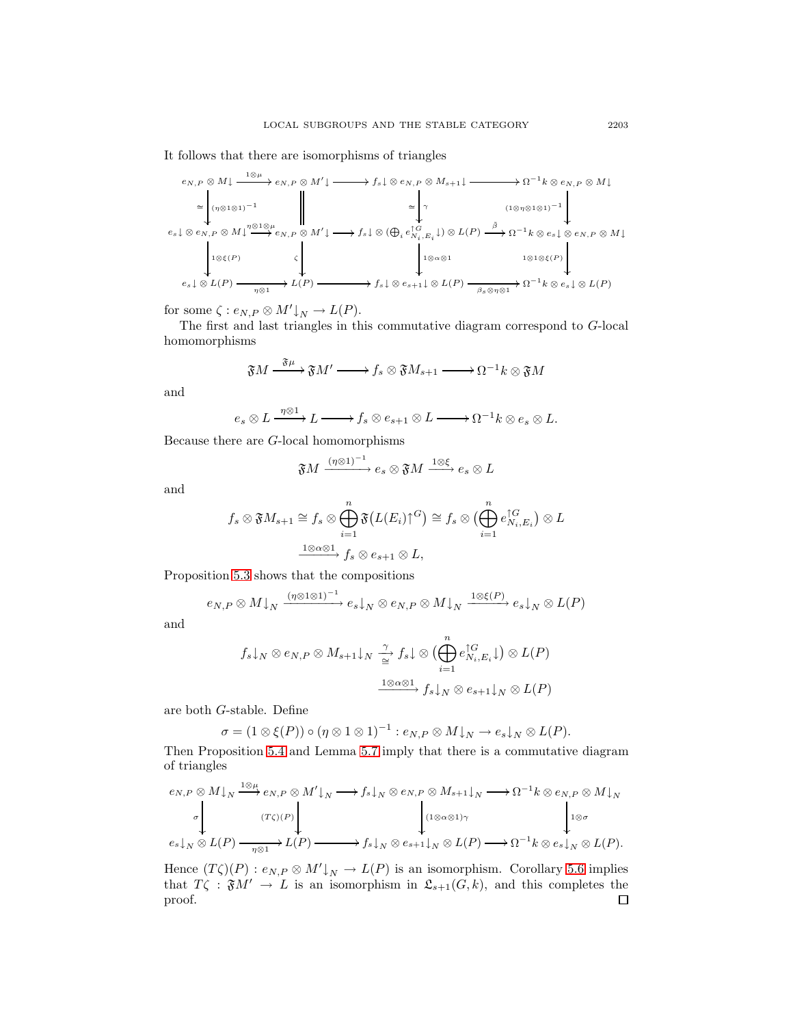It follows that there are isomorphisms of triangles

$$
e_{N,P} \otimes M \downarrow \xrightarrow{\mathbf{1} \otimes \mu} e_{N,P} \otimes M' \downarrow \xrightarrow{\mathbf{1} \otimes \mu} f_s \downarrow \otimes e_{N,P} \otimes M_{s+1} \downarrow \xrightarrow{\mathbf{1} \otimes \mu} \Omega^{-1} k \otimes e_{N,P} \otimes M \downarrow
$$
\n
$$
\cong \begin{pmatrix} \eta \otimes \mathbf{1} \otimes \mathbf{1} \end{pmatrix}^{-1} \qquad \qquad \qquad \mathbf{1} \otimes \mu
$$
\n
$$
e_s \downarrow \otimes e_{N,P} \otimes M \downarrow \xrightarrow{\eta \otimes \mathbf{1} \otimes \mu} e_{N,P} \otimes M' \downarrow \xrightarrow{\mathbf{1} \otimes \mu} f_s \downarrow \otimes (\bigoplus_i e_{N_i,E_i}^{\uparrow G} \downarrow) \otimes L(P) \xrightarrow{\tilde{\beta}} \Omega^{-1} k \otimes e_s \downarrow \otimes e_{N,P} \otimes M \downarrow
$$
\n
$$
e_s \downarrow \otimes L(P) \xrightarrow{\eta \otimes \mathbf{1}} L(P) \xrightarrow{\mathbf{1} \otimes \mu} f_s \downarrow \otimes e_{s+1} \downarrow \otimes L(P) \xrightarrow{\mathbf{1} \otimes \mu} \Omega^{-1} k \otimes e_s \downarrow \otimes L(P)
$$

for some  $\zeta: e_{N,P} \otimes M' \downarrow_N \to L(P)$ .

The first and last triangles in this commutative diagram correspond to G-local homomorphisms

$$
\mathfrak{F}M \xrightarrow{\mathfrak{F}\mu} \mathfrak{F}M' \longrightarrow f_s \otimes \mathfrak{F}M_{s+1} \longrightarrow \Omega^{-1}k \otimes \mathfrak{F}M
$$

and

$$
e_s \otimes L \xrightarrow{\eta \otimes 1} L \longrightarrow f_s \otimes e_{s+1} \otimes L \longrightarrow \Omega^{-1} k \otimes e_s \otimes L.
$$

Because there are G-local homomorphisms

$$
\mathfrak{F}M \xrightarrow{(\eta\otimes 1)^{-1}} e_s \otimes \mathfrak{F}M \xrightarrow{1\otimes \xi} e_s \otimes L
$$

and

$$
f_s \otimes \mathfrak{F} M_{s+1} \cong f_s \otimes \bigoplus_{i=1}^n \mathfrak{F} (L(E_i) \cap G) \cong f_s \otimes \bigoplus_{i=1}^n e_{N_i, E_i}^{\cap G} \big) \otimes L
$$
  

$$
\xrightarrow{\mathbf{1} \otimes \alpha \otimes \mathbf{1}} f_s \otimes e_{s+1} \otimes L,
$$

Proposition [5.3](#page-11-0) shows that the compositions

$$
e_{N,P} \otimes M \downarrow_N \xrightarrow{(\eta \otimes 1 \otimes 1)^{-1}} e_s \downarrow_N \otimes e_{N,P} \otimes M \downarrow_N \xrightarrow{1 \otimes \xi(P)} e_s \downarrow_N \otimes L(P)
$$

and

$$
f_s \downarrow_N \otimes e_{N,P} \otimes M_{s+1} \downarrow_N \xrightarrow{\gamma} f_s \downarrow \otimes \left( \bigoplus_{i=1}^n e_{N_i, E_i}^{\uparrow G} \downarrow \right) \otimes L(P)
$$

$$
\xrightarrow{1 \otimes \alpha \otimes 1} f_s \downarrow_N \otimes e_{s+1} \downarrow_N \otimes L(P)
$$

are both G-stable. Define

$$
\sigma = (1 \otimes \xi(P)) \circ (\eta \otimes 1 \otimes 1)^{-1} : e_{N,P} \otimes M \downarrow_N \to e_s \downarrow_N \otimes L(P).
$$

Then Proposition [5.4](#page-12-0) and Lemma [5.7](#page-13-0) imply that there is a commutative diagram of triangles

$$
e_{N,P} \otimes M\downarrow_{N} \xrightarrow{\mathbf{1} \otimes \mu} e_{N,P} \otimes M'\downarrow_{N} \longrightarrow f_{s}\downarrow_{N} \otimes e_{N,P} \otimes M_{s+1}\downarrow_{N} \longrightarrow \Omega^{-1}k \otimes e_{N,P} \otimes M\downarrow_{N}
$$
  
\n
$$
\sigma \downarrow \qquad \qquad \downarrow \qquad \qquad \downarrow \qquad \qquad \downarrow \qquad \qquad \downarrow \qquad \qquad \downarrow \qquad \qquad \downarrow \qquad \qquad \downarrow \qquad \qquad \downarrow \qquad \qquad \downarrow \qquad \qquad \downarrow \qquad \qquad \downarrow \qquad \qquad \downarrow \qquad \qquad \downarrow \qquad \downarrow \qquad \qquad \downarrow \qquad \downarrow \qquad \downarrow \qquad \qquad \downarrow \qquad \downarrow \qquad \qquad \downarrow \qquad \downarrow \qquad \downarrow \qquad \downarrow \qquad \qquad \downarrow \qquad \downarrow \qquad \downarrow \qquad \downarrow \qquad \downarrow \qquad \downarrow \qquad \downarrow \qquad \downarrow \qquad \downarrow \qquad \downarrow \qquad \downarrow \qquad \downarrow \qquad \downarrow \qquad \downarrow \qquad \downarrow \qquad \downarrow \qquad \downarrow \qquad \downarrow \qquad \downarrow \qquad \downarrow \qquad \downarrow \qquad \downarrow \qquad \downarrow \qquad \downarrow \qquad \downarrow \qquad \downarrow \qquad \downarrow \qquad \downarrow \qquad \downarrow \qquad \downarrow \qquad \downarrow \qquad \downarrow \qquad \downarrow \qquad \downarrow \qquad \downarrow \qquad \downarrow \qquad \downarrow \qquad \downarrow \qquad \downarrow \qquad \downarrow \qquad \downarrow \qquad \downarrow \qquad \downarrow \qquad \downarrow \qquad \downarrow \qquad \downarrow \qquad \downarrow \qquad \downarrow \qquad \downarrow \qquad \downarrow \qquad \downarrow \qquad \downarrow \qquad \downarrow \qquad \downarrow \qquad \downarrow \qquad \downarrow \qquad \downarrow \qquad \downarrow \qquad \downarrow \qquad \downarrow \qquad \downarrow \qquad \downarrow \qquad \downarrow \qquad \downarrow \qquad \downarrow \qquad \downarrow \qquad \downarrow \qquad \downarrow \qquad \downarrow \qquad \downarrow \qquad \downarrow \qquad \downarrow \qquad \downarrow \qquad \downarrow \qquad \downarrow \
$$

Hence  $(T\zeta)(P) : e_{N,P} \otimes M' \downarrow_N \to L(P)$  is an isomorphism. Corollary [5.6](#page-13-1) implies that  $T\zeta$ :  $\mathfrak{F}M' \to L$  is an isomorphism in  $\mathfrak{L}_{s+1}(G, k)$ , and this completes the proof. $\Box$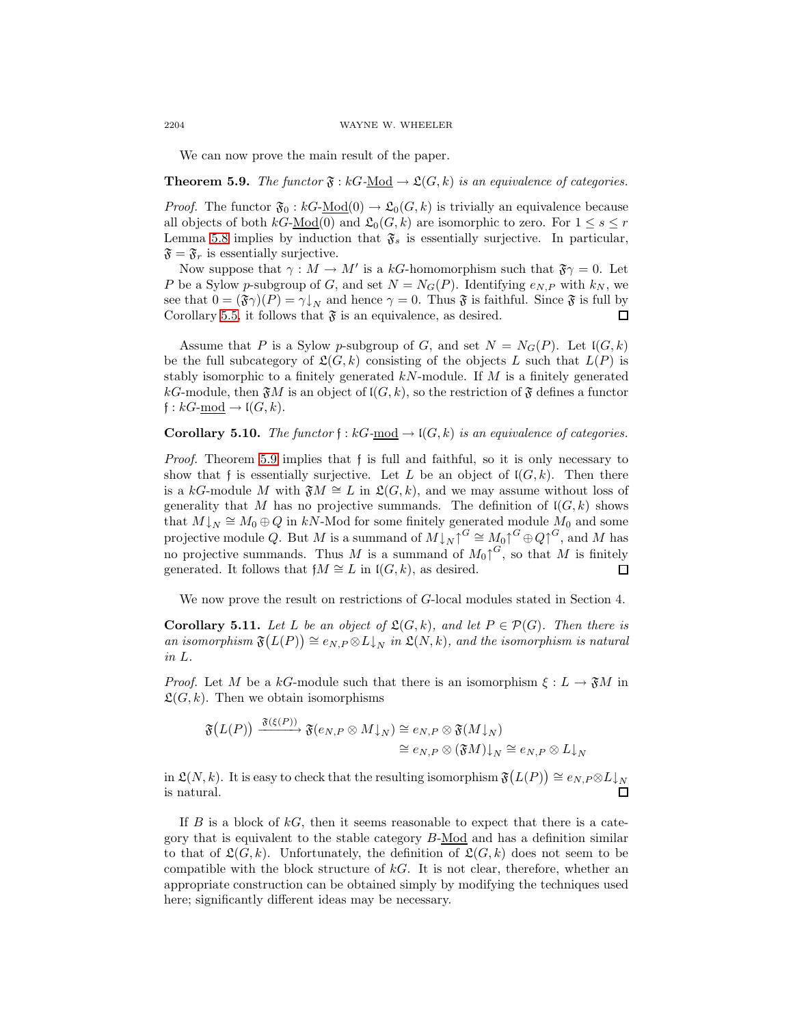We can now prove the main result of the paper.

<span id="page-17-0"></span>**Theorem 5.9.** The functor  $\mathfrak{F}: kG-\underline{Mod} \to \mathfrak{L}(G,k)$  is an equivalence of categories.

*Proof.* The functor  $\mathfrak{F}_0 : kG\text{-Mod}(0) \to \mathfrak{L}_0(G,k)$  is trivially an equivalence because all objects of both  $kG\text{-Mod}(0)$  and  $\mathfrak{L}_0(G, k)$  are isomorphic to zero. For  $1 \leq s \leq r$ Lemma [5.8](#page-14-0) implies by induction that  $\mathfrak{F}_s$  is essentially surjective. In particular,  $\mathfrak{F} = \mathfrak{F}_r$  is essentially surjective.

Now suppose that  $\gamma : M \to M'$  is a kG-homomorphism such that  $\mathfrak{F}\gamma = 0$ . Let P be a Sylow p-subgroup of G, and set  $N = N_G(P)$ . Identifying  $e_{N,P}$  with  $k_N$ , we see that  $0 = (\mathfrak{F}\gamma)(P) = \gamma\downarrow_N$  and hence  $\gamma = 0$ . Thus  $\mathfrak{F}$  is faithful. Since  $\mathfrak{F}$  is full by Corollary [5.5,](#page-13-2) it follows that  $\mathfrak F$  is an equivalence, as desired. П

Assume that P is a Sylow p-subgroup of G, and set  $N = N<sub>G</sub>(P)$ . Let  $I(G, k)$ be the full subcategory of  $\mathfrak{L}(G, k)$  consisting of the objects L such that  $L(P)$  is stably isomorphic to a finitely generated  $kN$ -module. If M is a finitely generated kG-module, then  $\mathfrak{F}M$  is an object of  $\mathfrak{l}(G, k)$ , so the restriction of  $\mathfrak{F}$  defines a functor  $f: kG$ -mod  $\rightarrow$   $\mathfrak{l}(G, k)$ .

**Corollary 5.10.** The functor  $f : kG$ -mod  $\rightarrow$   $I(G, k)$  is an equivalence of categories.

Proof. Theorem [5.9](#page-17-0) implies that f is full and faithful, so it is only necessary to show that f is essentially surjective. Let L be an object of  $\mathfrak{l}(G, k)$ . Then there is a kG-module M with  $\mathfrak{F}M \cong L$  in  $\mathfrak{L}(G, k)$ , and we may assume without loss of generality that M has no projective summands. The definition of  $I(G, k)$  shows that  $M\downarrow_N \cong M_0 \oplus Q$  in kN-Mod for some finitely generated module  $M_0$  and some projective module Q. But M is a summand of  $M\downarrow_N\uparrow^G\cong M_0\uparrow^G\oplus Q\uparrow^G$ , and M has no projective summands. Thus M is a summand of  $M_0 \uparrow^{G}$ , so that M is finitely generated. It follows that  $fM \cong L$  in  $I(G, k)$ , as desired.  $\Box$ 

We now prove the result on restrictions of G-local modules stated in Section 4.

**Corollary 5.11.** Let L be an object of  $\mathfrak{L}(G,k)$ , and let  $P \in \mathcal{P}(G)$ . Then there is an isomorphism  $\mathfrak{F}(L(P)) \cong e_{N,P} \otimes L\downarrow_N$  in  $\mathfrak{L}(N,k)$ , and the isomorphism is natural in L.

*Proof.* Let M be a kG-module such that there is an isomorphism  $\xi : L \to \mathfrak{F}M$  in  $\mathfrak{L}(G, k)$ . Then we obtain isomorphisms

$$
\mathfrak{F}(L(P)) \xrightarrow{\mathfrak{F}(\xi(P))} \mathfrak{F}(e_N, P \otimes M \downarrow_N) \cong e_N, P \otimes \mathfrak{F}(M \downarrow_N)
$$
  

$$
\cong e_N, P \otimes (\mathfrak{F}M) \downarrow_N \cong e_N, P \otimes L \downarrow_N
$$

in  $\mathfrak{L}(N,k)$ . It is easy to check that the resulting isomorphism  $\mathfrak{F}(L(P)) \cong e_{N,P} \otimes L\downarrow_N$ is natural. П

If  $B$  is a block of  $kG$ , then it seems reasonable to expect that there is a category that is equivalent to the stable category  $B\text{-Mod}$  and has a definition similar to that of  $\mathfrak{L}(G, k)$ . Unfortunately, the definition of  $\mathfrak{L}(G, k)$  does not seem to be compatible with the block structure of  $kG$ . It is not clear, therefore, whether an appropriate construction can be obtained simply by modifying the techniques used here; significantly different ideas may be necessary.